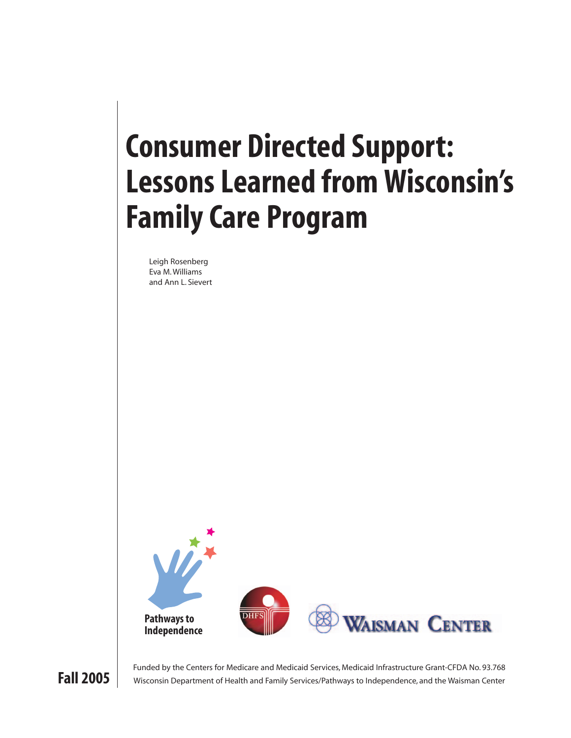# **Consumer Directed Support: Lessons Learned from Wisconsin's Family Care Program**

Leigh Rosenberg Eva M. Williams and Ann L. Sievert





**Fall 2005** Funded by the Centers for Medicare and Medicaid Services, Medicaid Infrastructure Grant-CFDA No. 93.768<br>Wisconsin Department of Health and Family Services/Pathways to Independence, and the Waisman Center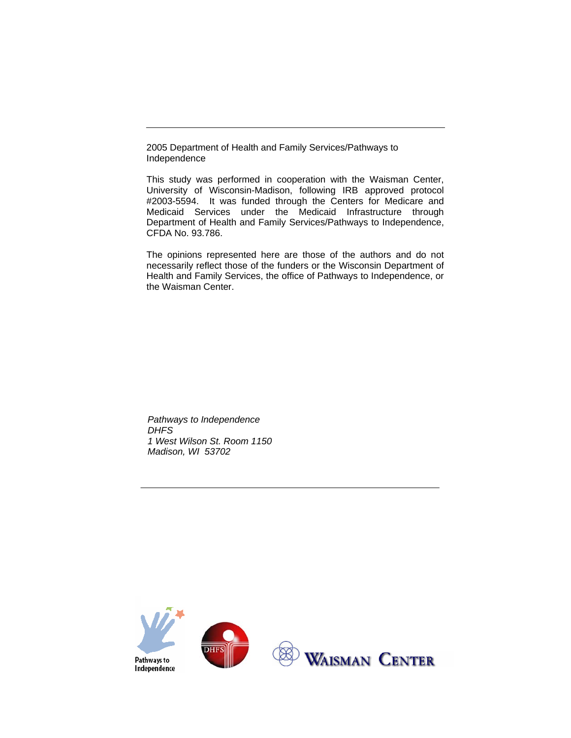2005 Department of Health and Family Services/Pathways to Independence

This study was performed in cooperation with the Waisman Center, University of Wisconsin-Madison, following IRB approved protocol #2003-5594. It was funded through the Centers for Medicare and Medicaid Services under the Medicaid Infrastructure through Department of Health and Family Services/Pathways to Independence, CFDA No. 93.786.

The opinions represented here are those of the authors and do not necessarily reflect those of the funders or the Wisconsin Department of Health and Family Services, the office of Pathways to Independence, or the Waisman Center.

*Pathways to Independence DHFS 1 West Wilson St. Room 1150 Madison, WI 53702* 

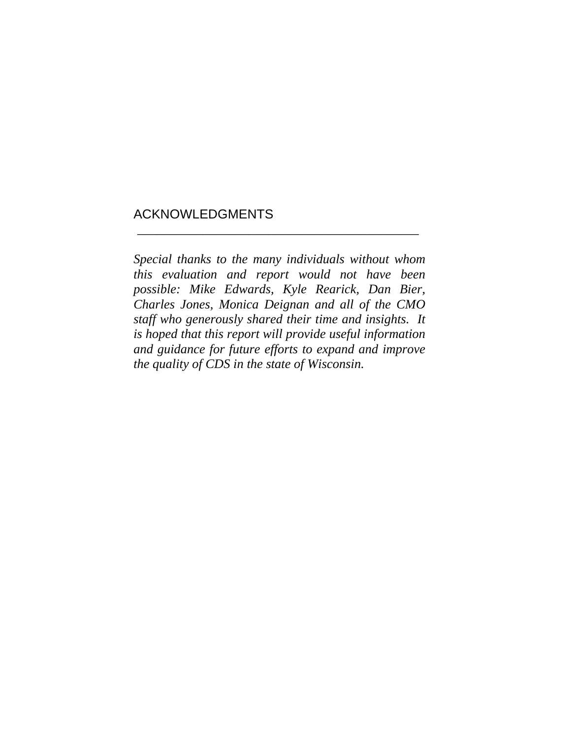# ACKNOWLEDGMENTS

*Special thanks to the many individuals without whom this evaluation and report would not have been possible: Mike Edwards, Kyle Rearick, Dan Bier, Charles Jones, Monica Deignan and all of the CMO staff who generously shared their time and insights. It is hoped that this report will provide useful information and guidance for future efforts to expand and improve the quality of CDS in the state of Wisconsin.* 

\_\_\_\_\_\_\_\_\_\_\_\_\_\_\_\_\_\_\_\_\_\_\_\_\_\_\_\_\_\_\_\_\_\_\_\_\_\_\_\_\_\_\_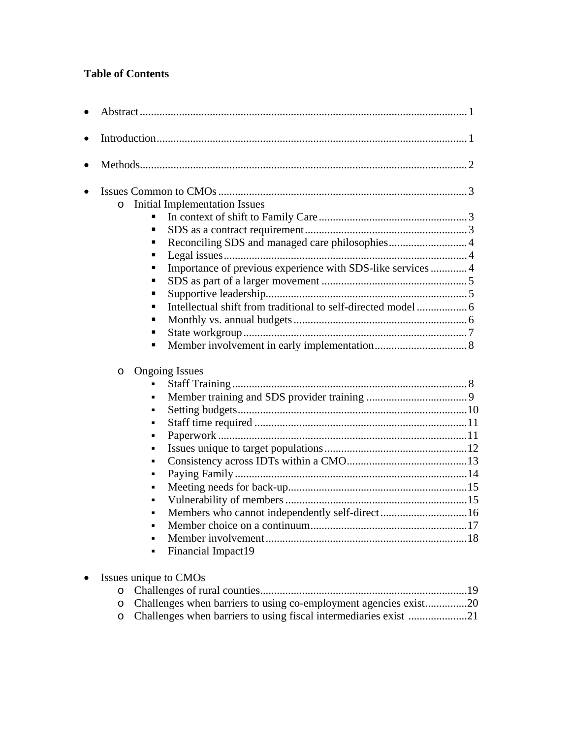# **Table of Contents**

| $\circ$        | <b>Initial Implementation Issues</b>                        |  |
|----------------|-------------------------------------------------------------|--|
| п              |                                                             |  |
| $\blacksquare$ |                                                             |  |
| ٠              | Reconciling SDS and managed care philosophies 4             |  |
| ٠              |                                                             |  |
| п              | Importance of previous experience with SDS-like services  4 |  |
| п              |                                                             |  |
| п              |                                                             |  |
| $\blacksquare$ |                                                             |  |
| ٠              |                                                             |  |
| ٠              |                                                             |  |
| ٠              |                                                             |  |
|                |                                                             |  |
| $\circ$        | <b>Ongoing Issues</b>                                       |  |
|                |                                                             |  |
| $\blacksquare$ |                                                             |  |
| ٠              |                                                             |  |
| ٠              |                                                             |  |
| ٠              |                                                             |  |
| ٠              |                                                             |  |
| ٠              |                                                             |  |
| ٠              |                                                             |  |
| $\blacksquare$ |                                                             |  |
| $\blacksquare$ |                                                             |  |
| ×,             | Members who cannot independently self-direct16              |  |
| ٠              |                                                             |  |
|                |                                                             |  |
| ٠              |                                                             |  |

| o Challenges when barriers to using co-employment agencies exist20 |  |
|--------------------------------------------------------------------|--|
|                                                                    |  |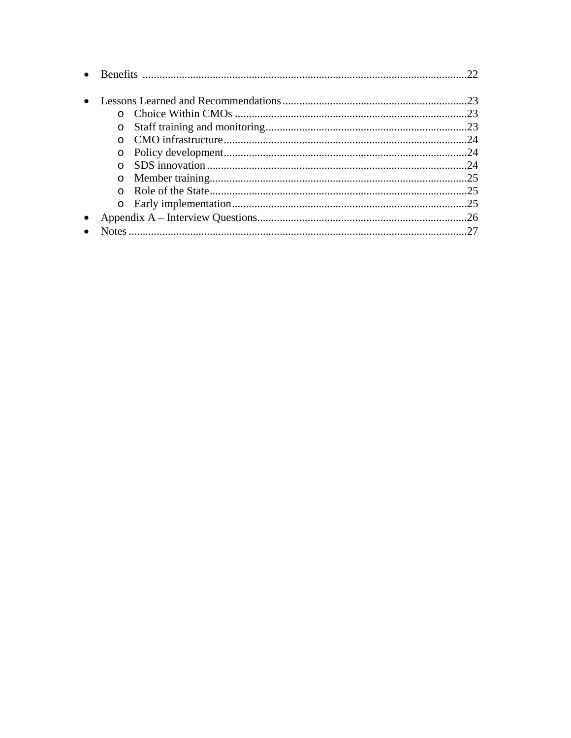| $\Omega$ |     |
|----------|-----|
|          | 24  |
| $\Omega$ | 24  |
|          | 24  |
|          | .25 |
|          | 25  |
|          |     |
|          |     |
|          | 27  |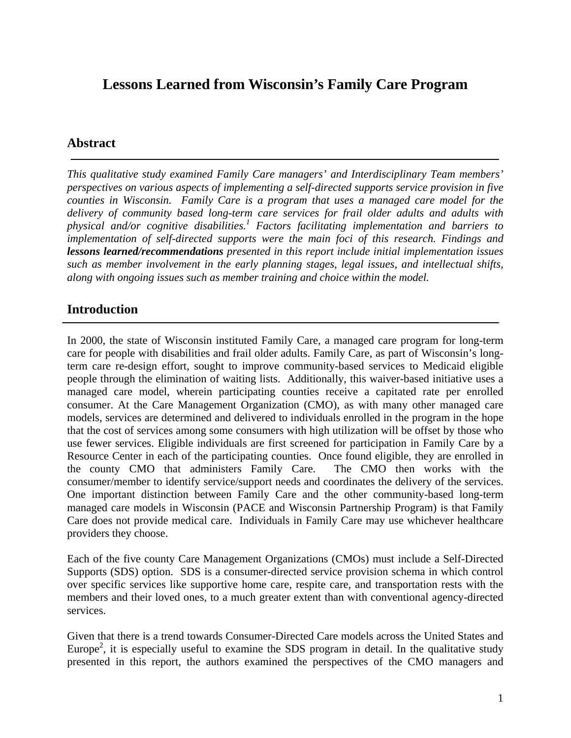# **Lessons Learned from Wisconsin's Family Care Program**

# **Abstract**

*This qualitative study examined Family Care managers' and Interdisciplinary Team members' perspectives on various aspects of implementing a self-directed supports service provision in five counties in Wisconsin. Family Care is a program that uses a managed care model for the delivery of community based long-term care services for frail older adults and adults with physical and/or cognitive disabilities.1 Factors facilitating implementation and barriers to implementation of self-directed supports were the main foci of this research. Findings and lessons learned/recommendations presented in this report include initial implementation issues such as member involvement in the early planning stages, legal issues, and intellectual shifts, along with ongoing issues such as member training and choice within the model.* 

# **Introduction**

In 2000, the state of Wisconsin instituted Family Care, a managed care program for long-term care for people with disabilities and frail older adults. Family Care, as part of Wisconsin's longterm care re-design effort, sought to improve community-based services to Medicaid eligible people through the elimination of waiting lists. Additionally, this waiver-based initiative uses a managed care model, wherein participating counties receive a capitated rate per enrolled consumer. At the Care Management Organization (CMO), as with many other managed care models, services are determined and delivered to individuals enrolled in the program in the hope that the cost of services among some consumers with high utilization will be offset by those who use fewer services. Eligible individuals are first screened for participation in Family Care by a Resource Center in each of the participating counties. Once found eligible, they are enrolled in the county CMO that administers Family Care. The CMO then works with the consumer/member to identify service/support needs and coordinates the delivery of the services. One important distinction between Family Care and the other community-based long-term managed care models in Wisconsin (PACE and Wisconsin Partnership Program) is that Family Care does not provide medical care. Individuals in Family Care may use whichever healthcare providers they choose.

Each of the five county Care Management Organizations (CMOs) must include a Self-Directed Supports (SDS) option. SDS is a consumer-directed service provision schema in which control over specific services like supportive home care, respite care, and transportation rests with the members and their loved ones, to a much greater extent than with conventional agency-directed services.

Given that there is a trend towards Consumer-Directed Care models across the United States and Europe<sup>2</sup>, it is especially useful to examine the SDS program in detail. In the qualitative study presented in this report, the authors examined the perspectives of the CMO managers and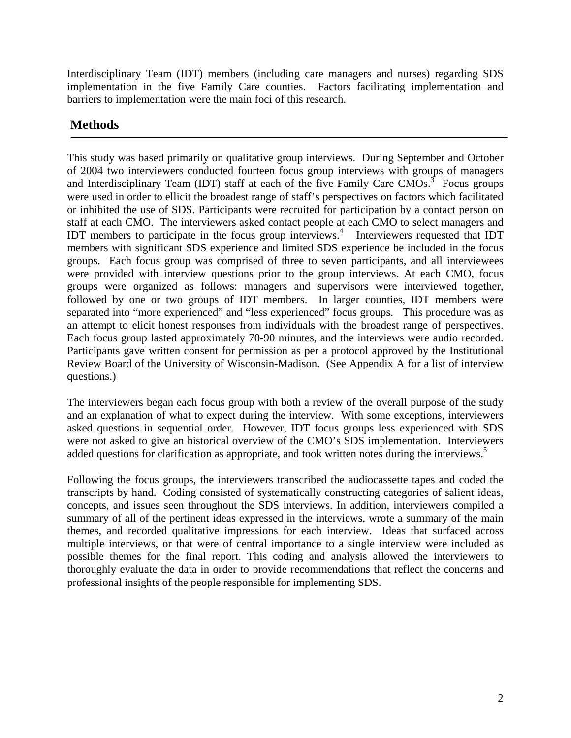Interdisciplinary Team (IDT) members (including care managers and nurses) regarding SDS implementation in the five Family Care counties. Factors facilitating implementation and barriers to implementation were the main foci of this research.

# **Methods**

This study was based primarily on qualitative group interviews. During September and October of 2004 two interviewers conducted fourteen focus group interviews with groups of managers and Interdisciplinary Team (IDT) staff at each of the five Family Care CMOs.<sup>3</sup> Focus groups were used in order to ellicit the broadest range of staff's perspectives on factors which facilitated or inhibited the use of SDS. Participants were recruited for participation by a contact person on staff at each CMO. The interviewers asked contact people at each CMO to select managers and IDT members to participate in the focus group interviews.<sup>4</sup> Interviewers requested that IDT members with significant SDS experience and limited SDS experience be included in the focus groups. Each focus group was comprised of three to seven participants, and all interviewees were provided with interview questions prior to the group interviews. At each CMO, focus groups were organized as follows: managers and supervisors were interviewed together, followed by one or two groups of IDT members. In larger counties, IDT members were separated into "more experienced" and "less experienced" focus groups. This procedure was as an attempt to elicit honest responses from individuals with the broadest range of perspectives. Each focus group lasted approximately 70-90 minutes, and the interviews were audio recorded. Participants gave written consent for permission as per a protocol approved by the Institutional Review Board of the University of Wisconsin-Madison. (See Appendix A for a list of interview questions.)

The interviewers began each focus group with both a review of the overall purpose of the study and an explanation of what to expect during the interview. With some exceptions, interviewers asked questions in sequential order. However, IDT focus groups less experienced with SDS were not asked to give an historical overview of the CMO's SDS implementation. Interviewers added questions for clarification as appropriate, and took written notes during the interviews.<sup>5</sup>

Following the focus groups, the interviewers transcribed the audiocassette tapes and coded the transcripts by hand. Coding consisted of systematically constructing categories of salient ideas, concepts, and issues seen throughout the SDS interviews. In addition, interviewers compiled a summary of all of the pertinent ideas expressed in the interviews, wrote a summary of the main themes, and recorded qualitative impressions for each interview. Ideas that surfaced across multiple interviews, or that were of central importance to a single interview were included as possible themes for the final report. This coding and analysis allowed the interviewers to thoroughly evaluate the data in order to provide recommendations that reflect the concerns and professional insights of the people responsible for implementing SDS.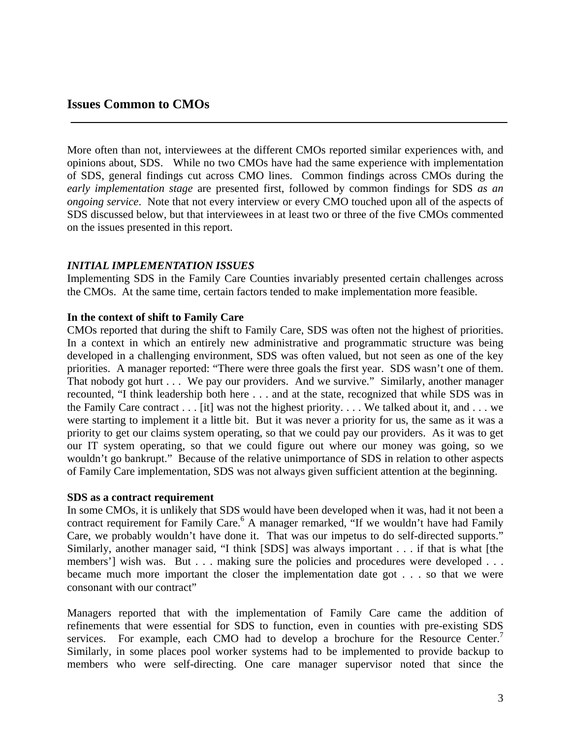More often than not, interviewees at the different CMOs reported similar experiences with, and opinions about, SDS. While no two CMOs have had the same experience with implementation of SDS, general findings cut across CMO lines. Common findings across CMOs during the *early implementation stage* are presented first, followed by common findings for SDS *as an ongoing service*. Note that not every interview or every CMO touched upon all of the aspects of SDS discussed below, but that interviewees in at least two or three of the five CMOs commented on the issues presented in this report.

#### *INITIAL IMPLEMENTATION ISSUES*

Implementing SDS in the Family Care Counties invariably presented certain challenges across the CMOs. At the same time, certain factors tended to make implementation more feasible.

#### **In the context of shift to Family Care**

CMOs reported that during the shift to Family Care, SDS was often not the highest of priorities. In a context in which an entirely new administrative and programmatic structure was being developed in a challenging environment, SDS was often valued, but not seen as one of the key priorities. A manager reported: "There were three goals the first year. SDS wasn't one of them. That nobody got hurt . . . We pay our providers. And we survive." Similarly, another manager recounted, "I think leadership both here . . . and at the state, recognized that while SDS was in the Family Care contract . . . [it] was not the highest priority. . . . We talked about it, and . . . we were starting to implement it a little bit. But it was never a priority for us, the same as it was a priority to get our claims system operating, so that we could pay our providers. As it was to get our IT system operating, so that we could figure out where our money was going, so we wouldn't go bankrupt." Because of the relative unimportance of SDS in relation to other aspects of Family Care implementation, SDS was not always given sufficient attention at the beginning.

#### **SDS as a contract requirement**

In some CMOs, it is unlikely that SDS would have been developed when it was, had it not been a contract requirement for Family Care.<sup>6</sup> A manager remarked, "If we wouldn't have had Family Care, we probably wouldn't have done it. That was our impetus to do self-directed supports." Similarly, another manager said, "I think [SDS] was always important . . . if that is what [the members'] wish was. But . . . making sure the policies and procedures were developed . . . became much more important the closer the implementation date got . . . so that we were consonant with our contract"

Managers reported that with the implementation of Family Care came the addition of refinements that were essential for SDS to function, even in counties with pre-existing SDS services. For example, each CMO had to develop a brochure for the Resource Center.<sup>7</sup> Similarly, in some places pool worker systems had to be implemented to provide backup to members who were self-directing. One care manager supervisor noted that since the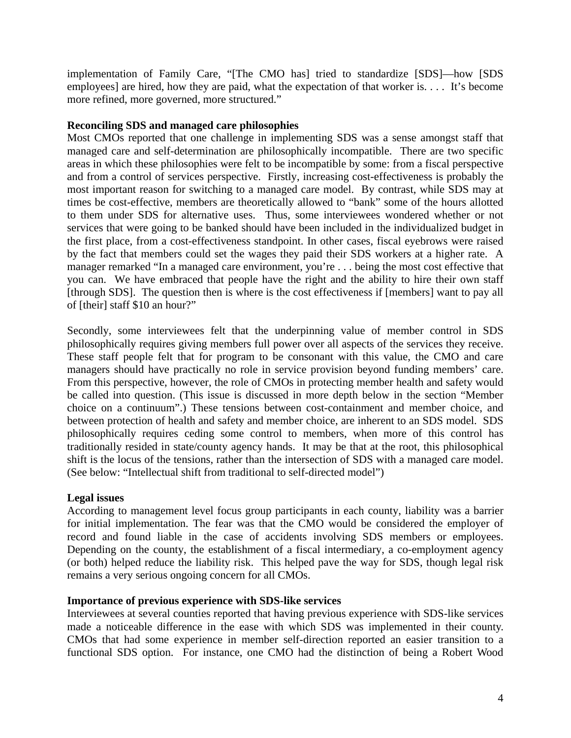implementation of Family Care, "[The CMO has] tried to standardize [SDS]—how [SDS employees] are hired, how they are paid, what the expectation of that worker is. . . . It's become more refined, more governed, more structured."

# **Reconciling SDS and managed care philosophies**

Most CMOs reported that one challenge in implementing SDS was a sense amongst staff that managed care and self-determination are philosophically incompatible. There are two specific areas in which these philosophies were felt to be incompatible by some: from a fiscal perspective and from a control of services perspective. Firstly, increasing cost-effectiveness is probably the most important reason for switching to a managed care model. By contrast, while SDS may at times be cost-effective, members are theoretically allowed to "bank" some of the hours allotted to them under SDS for alternative uses. Thus, some interviewees wondered whether or not services that were going to be banked should have been included in the individualized budget in the first place, from a cost-effectiveness standpoint. In other cases, fiscal eyebrows were raised by the fact that members could set the wages they paid their SDS workers at a higher rate. A manager remarked "In a managed care environment, you're . . . being the most cost effective that you can. We have embraced that people have the right and the ability to hire their own staff [through SDS]. The question then is where is the cost effectiveness if [members] want to pay all of [their] staff \$10 an hour?"

Secondly, some interviewees felt that the underpinning value of member control in SDS philosophically requires giving members full power over all aspects of the services they receive. These staff people felt that for program to be consonant with this value, the CMO and care managers should have practically no role in service provision beyond funding members' care. From this perspective, however, the role of CMOs in protecting member health and safety would be called into question. (This issue is discussed in more depth below in the section "Member choice on a continuum".) These tensions between cost-containment and member choice, and between protection of health and safety and member choice, are inherent to an SDS model. SDS philosophically requires ceding some control to members, when more of this control has traditionally resided in state/county agency hands. It may be that at the root, this philosophical shift is the locus of the tensions, rather than the intersection of SDS with a managed care model. (See below: "Intellectual shift from traditional to self-directed model")

#### **Legal issues**

According to management level focus group participants in each county, liability was a barrier for initial implementation. The fear was that the CMO would be considered the employer of record and found liable in the case of accidents involving SDS members or employees. Depending on the county, the establishment of a fiscal intermediary, a co-employment agency (or both) helped reduce the liability risk. This helped pave the way for SDS, though legal risk remains a very serious ongoing concern for all CMOs.

#### **Importance of previous experience with SDS-like services**

Interviewees at several counties reported that having previous experience with SDS-like services made a noticeable difference in the ease with which SDS was implemented in their county. CMOs that had some experience in member self-direction reported an easier transition to a functional SDS option. For instance, one CMO had the distinction of being a Robert Wood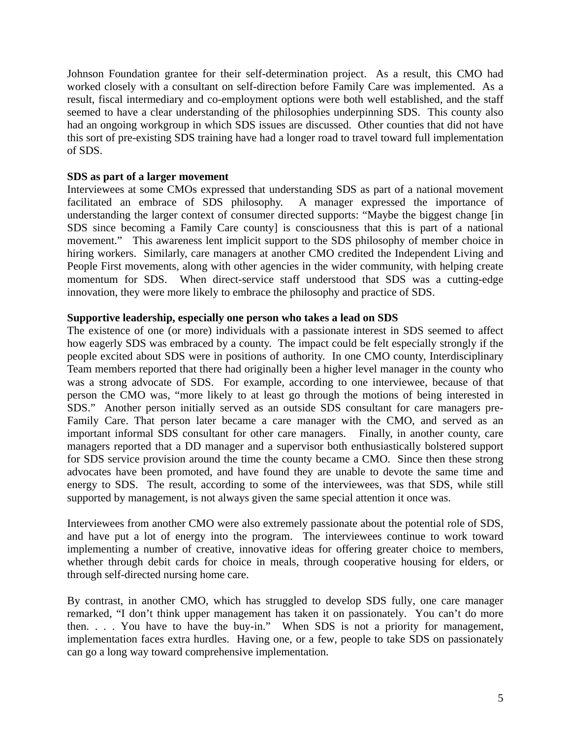Johnson Foundation grantee for their self-determination project. As a result, this CMO had worked closely with a consultant on self-direction before Family Care was implemented. As a result, fiscal intermediary and co-employment options were both well established, and the staff seemed to have a clear understanding of the philosophies underpinning SDS. This county also had an ongoing workgroup in which SDS issues are discussed. Other counties that did not have this sort of pre-existing SDS training have had a longer road to travel toward full implementation of SDS.

#### **SDS as part of a larger movement**

Interviewees at some CMOs expressed that understanding SDS as part of a national movement facilitated an embrace of SDS philosophy. A manager expressed the importance of understanding the larger context of consumer directed supports: "Maybe the biggest change [in SDS since becoming a Family Care county] is consciousness that this is part of a national movement." This awareness lent implicit support to the SDS philosophy of member choice in hiring workers. Similarly, care managers at another CMO credited the Independent Living and People First movements, along with other agencies in the wider community, with helping create momentum for SDS. When direct-service staff understood that SDS was a cutting-edge innovation, they were more likely to embrace the philosophy and practice of SDS.

#### **Supportive leadership, especially one person who takes a lead on SDS**

The existence of one (or more) individuals with a passionate interest in SDS seemed to affect how eagerly SDS was embraced by a county. The impact could be felt especially strongly if the people excited about SDS were in positions of authority. In one CMO county, Interdisciplinary Team members reported that there had originally been a higher level manager in the county who was a strong advocate of SDS. For example, according to one interviewee, because of that person the CMO was, "more likely to at least go through the motions of being interested in SDS." Another person initially served as an outside SDS consultant for care managers pre-Family Care. That person later became a care manager with the CMO, and served as an important informal SDS consultant for other care managers. Finally, in another county, care managers reported that a DD manager and a supervisor both enthusiastically bolstered support for SDS service provision around the time the county became a CMO. Since then these strong advocates have been promoted, and have found they are unable to devote the same time and energy to SDS. The result, according to some of the interviewees, was that SDS, while still supported by management, is not always given the same special attention it once was.

Interviewees from another CMO were also extremely passionate about the potential role of SDS, and have put a lot of energy into the program. The interviewees continue to work toward implementing a number of creative, innovative ideas for offering greater choice to members, whether through debit cards for choice in meals, through cooperative housing for elders, or through self-directed nursing home care.

By contrast, in another CMO, which has struggled to develop SDS fully, one care manager remarked, "I don't think upper management has taken it on passionately. You can't do more then. . . . You have to have the buy-in." When SDS is not a priority for management, implementation faces extra hurdles. Having one, or a few, people to take SDS on passionately can go a long way toward comprehensive implementation.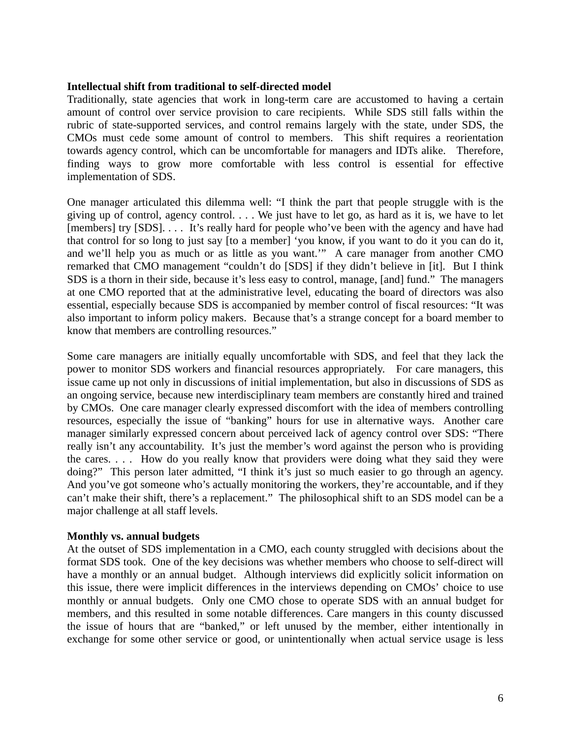#### **Intellectual shift from traditional to self-directed model**

Traditionally, state agencies that work in long-term care are accustomed to having a certain amount of control over service provision to care recipients. While SDS still falls within the rubric of state-supported services, and control remains largely with the state, under SDS, the CMOs must cede some amount of control to members. This shift requires a reorientation towards agency control, which can be uncomfortable for managers and IDTs alike. Therefore, finding ways to grow more comfortable with less control is essential for effective implementation of SDS.

One manager articulated this dilemma well: "I think the part that people struggle with is the giving up of control, agency control. . . . We just have to let go, as hard as it is, we have to let [members] try [SDS].... It's really hard for people who've been with the agency and have had that control for so long to just say [to a member] 'you know, if you want to do it you can do it, and we'll help you as much or as little as you want.'" A care manager from another CMO remarked that CMO management "couldn't do [SDS] if they didn't believe in [it]. But I think SDS is a thorn in their side, because it's less easy to control, manage, [and] fund." The managers at one CMO reported that at the administrative level, educating the board of directors was also essential, especially because SDS is accompanied by member control of fiscal resources: "It was also important to inform policy makers. Because that's a strange concept for a board member to know that members are controlling resources."

Some care managers are initially equally uncomfortable with SDS, and feel that they lack the power to monitor SDS workers and financial resources appropriately. For care managers, this issue came up not only in discussions of initial implementation, but also in discussions of SDS as an ongoing service, because new interdisciplinary team members are constantly hired and trained by CMOs. One care manager clearly expressed discomfort with the idea of members controlling resources, especially the issue of "banking" hours for use in alternative ways. Another care manager similarly expressed concern about perceived lack of agency control over SDS: "There really isn't any accountability. It's just the member's word against the person who is providing the cares. . . . How do you really know that providers were doing what they said they were doing?" This person later admitted, "I think it's just so much easier to go through an agency. And you've got someone who's actually monitoring the workers, they're accountable, and if they can't make their shift, there's a replacement." The philosophical shift to an SDS model can be a major challenge at all staff levels.

#### **Monthly vs. annual budgets**

At the outset of SDS implementation in a CMO, each county struggled with decisions about the format SDS took. One of the key decisions was whether members who choose to self-direct will have a monthly or an annual budget. Although interviews did explicitly solicit information on this issue, there were implicit differences in the interviews depending on CMOs' choice to use monthly or annual budgets. Only one CMO chose to operate SDS with an annual budget for members, and this resulted in some notable differences. Care mangers in this county discussed the issue of hours that are "banked," or left unused by the member, either intentionally in exchange for some other service or good, or unintentionally when actual service usage is less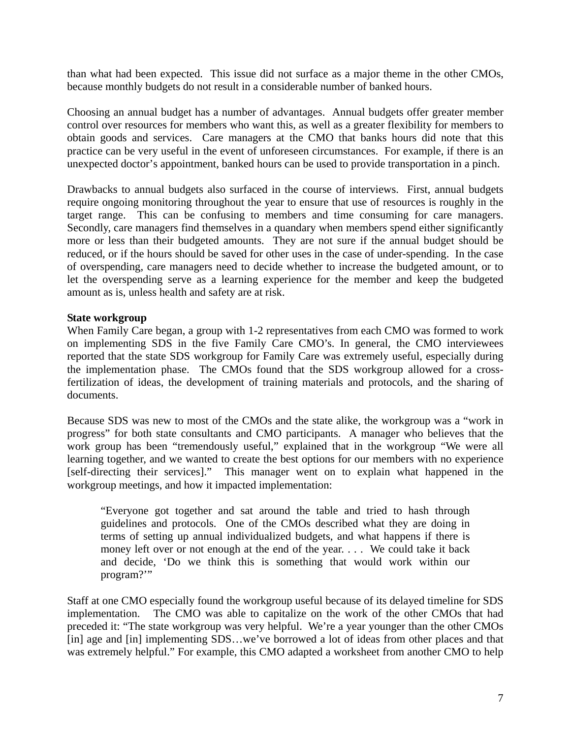than what had been expected. This issue did not surface as a major theme in the other CMOs, because monthly budgets do not result in a considerable number of banked hours.

Choosing an annual budget has a number of advantages. Annual budgets offer greater member control over resources for members who want this, as well as a greater flexibility for members to obtain goods and services. Care managers at the CMO that banks hours did note that this practice can be very useful in the event of unforeseen circumstances. For example, if there is an unexpected doctor's appointment, banked hours can be used to provide transportation in a pinch.

Drawbacks to annual budgets also surfaced in the course of interviews. First, annual budgets require ongoing monitoring throughout the year to ensure that use of resources is roughly in the target range. This can be confusing to members and time consuming for care managers. Secondly, care managers find themselves in a quandary when members spend either significantly more or less than their budgeted amounts. They are not sure if the annual budget should be reduced, or if the hours should be saved for other uses in the case of under-spending. In the case of overspending, care managers need to decide whether to increase the budgeted amount, or to let the overspending serve as a learning experience for the member and keep the budgeted amount as is, unless health and safety are at risk.

#### **State workgroup**

When Family Care began, a group with 1-2 representatives from each CMO was formed to work on implementing SDS in the five Family Care CMO's. In general, the CMO interviewees reported that the state SDS workgroup for Family Care was extremely useful, especially during the implementation phase. The CMOs found that the SDS workgroup allowed for a crossfertilization of ideas, the development of training materials and protocols, and the sharing of documents.

Because SDS was new to most of the CMOs and the state alike, the workgroup was a "work in progress" for both state consultants and CMO participants. A manager who believes that the work group has been "tremendously useful," explained that in the workgroup "We were all learning together, and we wanted to create the best options for our members with no experience [self-directing their services]." This manager went on to explain what happened in the workgroup meetings, and how it impacted implementation:

"Everyone got together and sat around the table and tried to hash through guidelines and protocols. One of the CMOs described what they are doing in terms of setting up annual individualized budgets, and what happens if there is money left over or not enough at the end of the year. . . . We could take it back and decide, 'Do we think this is something that would work within our program?'"

Staff at one CMO especially found the workgroup useful because of its delayed timeline for SDS implementation. The CMO was able to capitalize on the work of the other CMOs that had preceded it: "The state workgroup was very helpful. We're a year younger than the other CMOs [in] age and [in] implementing SDS...we've borrowed a lot of ideas from other places and that was extremely helpful." For example, this CMO adapted a worksheet from another CMO to help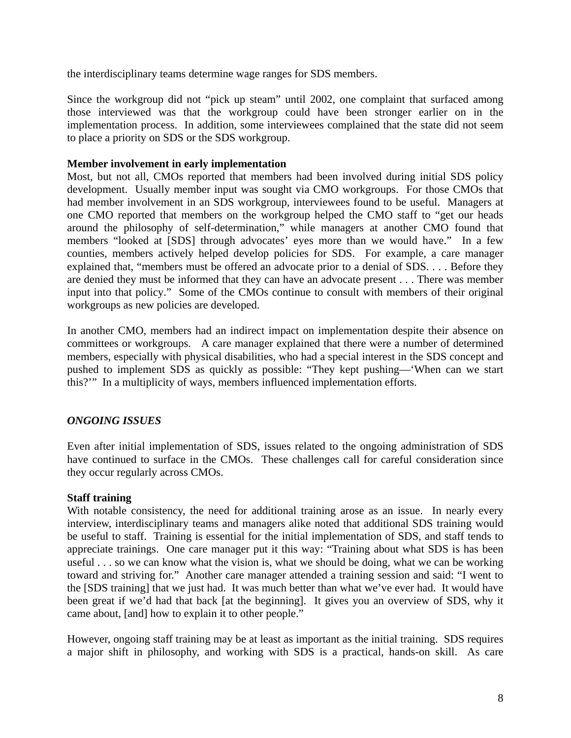the interdisciplinary teams determine wage ranges for SDS members.

Since the workgroup did not "pick up steam" until 2002, one complaint that surfaced among those interviewed was that the workgroup could have been stronger earlier on in the implementation process. In addition, some interviewees complained that the state did not seem to place a priority on SDS or the SDS workgroup.

#### **Member involvement in early implementation**

Most, but not all, CMOs reported that members had been involved during initial SDS policy development. Usually member input was sought via CMO workgroups. For those CMOs that had member involvement in an SDS workgroup, interviewees found to be useful. Managers at one CMO reported that members on the workgroup helped the CMO staff to "get our heads around the philosophy of self-determination," while managers at another CMO found that members "looked at [SDS] through advocates' eyes more than we would have." In a few counties, members actively helped develop policies for SDS. For example, a care manager explained that, "members must be offered an advocate prior to a denial of SDS. . . . Before they are denied they must be informed that they can have an advocate present . . . There was member input into that policy." Some of the CMOs continue to consult with members of their original workgroups as new policies are developed.

In another CMO, members had an indirect impact on implementation despite their absence on committees or workgroups. A care manager explained that there were a number of determined members, especially with physical disabilities, who had a special interest in the SDS concept and pushed to implement SDS as quickly as possible: "They kept pushing—'When can we start this?'" In a multiplicity of ways, members influenced implementation efforts.

# *ONGOING ISSUES*

Even after initial implementation of SDS, issues related to the ongoing administration of SDS have continued to surface in the CMOs. These challenges call for careful consideration since they occur regularly across CMOs.

#### **Staff training**

With notable consistency, the need for additional training arose as an issue. In nearly every interview, interdisciplinary teams and managers alike noted that additional SDS training would be useful to staff. Training is essential for the initial implementation of SDS, and staff tends to appreciate trainings. One care manager put it this way: "Training about what SDS is has been useful . . . so we can know what the vision is, what we should be doing, what we can be working toward and striving for." Another care manager attended a training session and said: "I went to the [SDS training] that we just had. It was much better than what we've ever had. It would have been great if we'd had that back [at the beginning]. It gives you an overview of SDS, why it came about, [and] how to explain it to other people."

However, ongoing staff training may be at least as important as the initial training. SDS requires a major shift in philosophy, and working with SDS is a practical, hands-on skill. As care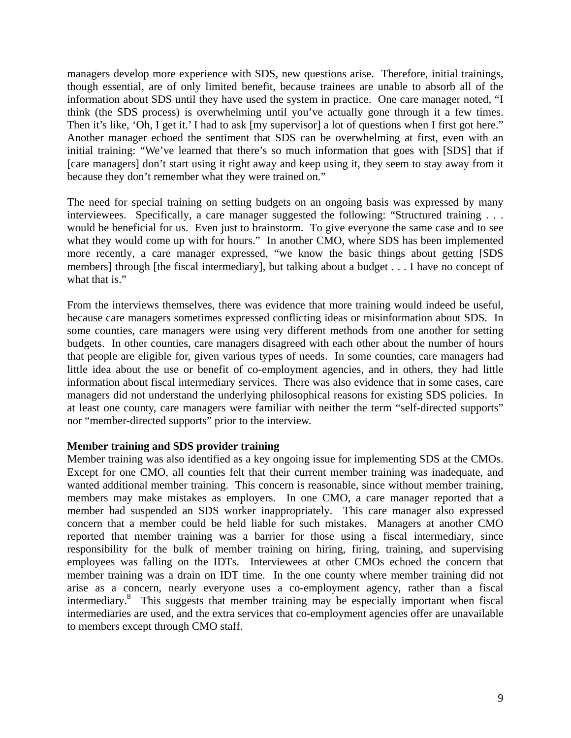managers develop more experience with SDS, new questions arise. Therefore, initial trainings, though essential, are of only limited benefit, because trainees are unable to absorb all of the information about SDS until they have used the system in practice. One care manager noted, "I think (the SDS process) is overwhelming until you've actually gone through it a few times. Then it's like, 'Oh, I get it.' I had to ask [my supervisor] a lot of questions when I first got here." Another manager echoed the sentiment that SDS can be overwhelming at first, even with an initial training: "We've learned that there's so much information that goes with [SDS] that if [care managers] don't start using it right away and keep using it, they seem to stay away from it because they don't remember what they were trained on."

The need for special training on setting budgets on an ongoing basis was expressed by many interviewees. Specifically, a care manager suggested the following: "Structured training . . . would be beneficial for us. Even just to brainstorm. To give everyone the same case and to see what they would come up with for hours." In another CMO, where SDS has been implemented more recently, a care manager expressed, "we know the basic things about getting [SDS members] through [the fiscal intermediary], but talking about a budget . . . I have no concept of what that is."

From the interviews themselves, there was evidence that more training would indeed be useful, because care managers sometimes expressed conflicting ideas or misinformation about SDS. In some counties, care managers were using very different methods from one another for setting budgets. In other counties, care managers disagreed with each other about the number of hours that people are eligible for, given various types of needs. In some counties, care managers had little idea about the use or benefit of co-employment agencies, and in others, they had little information about fiscal intermediary services. There was also evidence that in some cases, care managers did not understand the underlying philosophical reasons for existing SDS policies. In at least one county, care managers were familiar with neither the term "self-directed supports" nor "member-directed supports" prior to the interview.

#### **Member training and SDS provider training**

Member training was also identified as a key ongoing issue for implementing SDS at the CMOs. Except for one CMO, all counties felt that their current member training was inadequate, and wanted additional member training. This concern is reasonable, since without member training, members may make mistakes as employers. In one CMO, a care manager reported that a member had suspended an SDS worker inappropriately. This care manager also expressed concern that a member could be held liable for such mistakes. Managers at another CMO reported that member training was a barrier for those using a fiscal intermediary, since responsibility for the bulk of member training on hiring, firing, training, and supervising employees was falling on the IDTs. Interviewees at other CMOs echoed the concern that member training was a drain on IDT time. In the one county where member training did not arise as a concern, nearly everyone uses a co-employment agency, rather than a fiscal intermediary.8 This suggests that member training may be especially important when fiscal intermediaries are used, and the extra services that co-employment agencies offer are unavailable to members except through CMO staff.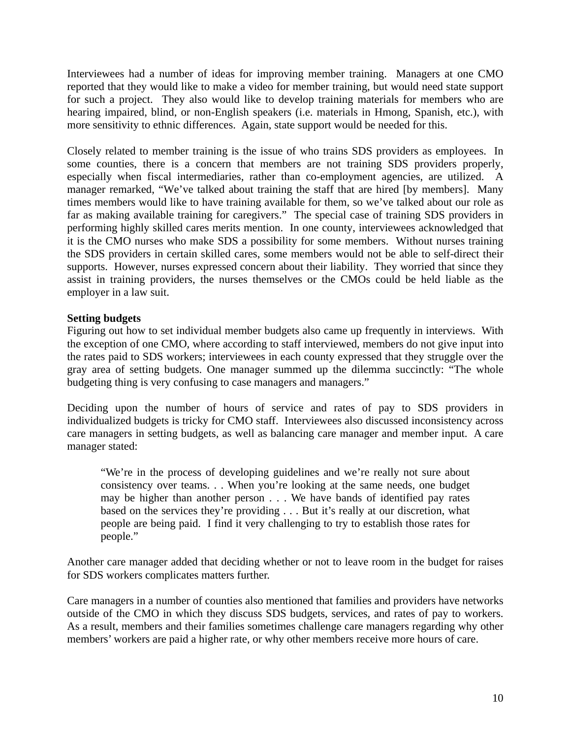Interviewees had a number of ideas for improving member training. Managers at one CMO reported that they would like to make a video for member training, but would need state support for such a project. They also would like to develop training materials for members who are hearing impaired, blind, or non-English speakers (i.e. materials in Hmong, Spanish, etc.), with more sensitivity to ethnic differences. Again, state support would be needed for this.

Closely related to member training is the issue of who trains SDS providers as employees. In some counties, there is a concern that members are not training SDS providers properly, especially when fiscal intermediaries, rather than co-employment agencies, are utilized. A manager remarked, "We've talked about training the staff that are hired [by members]. Many times members would like to have training available for them, so we've talked about our role as far as making available training for caregivers." The special case of training SDS providers in performing highly skilled cares merits mention. In one county, interviewees acknowledged that it is the CMO nurses who make SDS a possibility for some members. Without nurses training the SDS providers in certain skilled cares, some members would not be able to self-direct their supports. However, nurses expressed concern about their liability. They worried that since they assist in training providers, the nurses themselves or the CMOs could be held liable as the employer in a law suit.

#### **Setting budgets**

Figuring out how to set individual member budgets also came up frequently in interviews. With the exception of one CMO, where according to staff interviewed, members do not give input into the rates paid to SDS workers; interviewees in each county expressed that they struggle over the gray area of setting budgets. One manager summed up the dilemma succinctly: "The whole budgeting thing is very confusing to case managers and managers."

Deciding upon the number of hours of service and rates of pay to SDS providers in individualized budgets is tricky for CMO staff. Interviewees also discussed inconsistency across care managers in setting budgets, as well as balancing care manager and member input. A care manager stated:

"We're in the process of developing guidelines and we're really not sure about consistency over teams. . . When you're looking at the same needs, one budget may be higher than another person . . . We have bands of identified pay rates based on the services they're providing . . . But it's really at our discretion, what people are being paid. I find it very challenging to try to establish those rates for people."

Another care manager added that deciding whether or not to leave room in the budget for raises for SDS workers complicates matters further.

Care managers in a number of counties also mentioned that families and providers have networks outside of the CMO in which they discuss SDS budgets, services, and rates of pay to workers. As a result, members and their families sometimes challenge care managers regarding why other members' workers are paid a higher rate, or why other members receive more hours of care.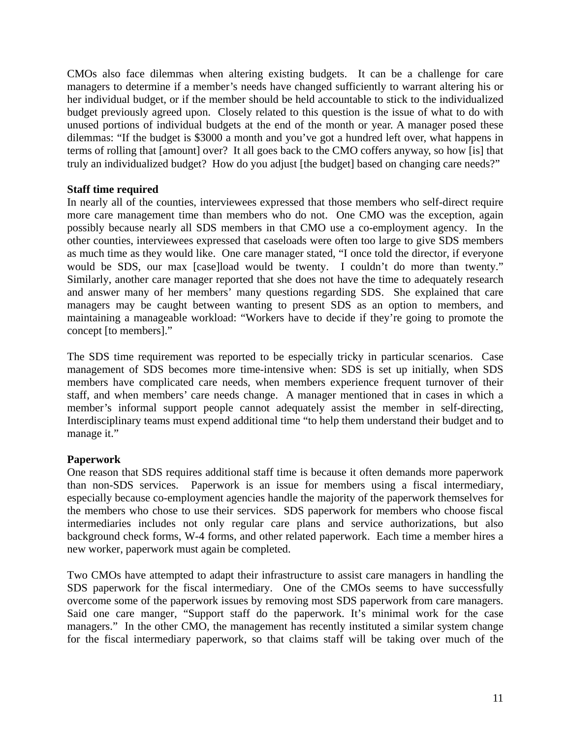CMOs also face dilemmas when altering existing budgets. It can be a challenge for care managers to determine if a member's needs have changed sufficiently to warrant altering his or her individual budget, or if the member should be held accountable to stick to the individualized budget previously agreed upon. Closely related to this question is the issue of what to do with unused portions of individual budgets at the end of the month or year. A manager posed these dilemmas: "If the budget is \$3000 a month and you've got a hundred left over, what happens in terms of rolling that [amount] over? It all goes back to the CMO coffers anyway, so how [is] that truly an individualized budget? How do you adjust [the budget] based on changing care needs?"

# **Staff time required**

In nearly all of the counties, interviewees expressed that those members who self-direct require more care management time than members who do not. One CMO was the exception, again possibly because nearly all SDS members in that CMO use a co-employment agency. In the other counties, interviewees expressed that caseloads were often too large to give SDS members as much time as they would like. One care manager stated, "I once told the director, if everyone would be SDS, our max [case]load would be twenty. I couldn't do more than twenty." Similarly, another care manager reported that she does not have the time to adequately research and answer many of her members' many questions regarding SDS. She explained that care managers may be caught between wanting to present SDS as an option to members, and maintaining a manageable workload: "Workers have to decide if they're going to promote the concept [to members]."

The SDS time requirement was reported to be especially tricky in particular scenarios. Case management of SDS becomes more time-intensive when: SDS is set up initially, when SDS members have complicated care needs, when members experience frequent turnover of their staff, and when members' care needs change. A manager mentioned that in cases in which a member's informal support people cannot adequately assist the member in self-directing, Interdisciplinary teams must expend additional time "to help them understand their budget and to manage it."

#### **Paperwork**

One reason that SDS requires additional staff time is because it often demands more paperwork than non-SDS services. Paperwork is an issue for members using a fiscal intermediary, especially because co-employment agencies handle the majority of the paperwork themselves for the members who chose to use their services. SDS paperwork for members who choose fiscal intermediaries includes not only regular care plans and service authorizations, but also background check forms, W-4 forms, and other related paperwork. Each time a member hires a new worker, paperwork must again be completed.

Two CMOs have attempted to adapt their infrastructure to assist care managers in handling the SDS paperwork for the fiscal intermediary. One of the CMOs seems to have successfully overcome some of the paperwork issues by removing most SDS paperwork from care managers. Said one care manger, "Support staff do the paperwork. It's minimal work for the case managers." In the other CMO, the management has recently instituted a similar system change for the fiscal intermediary paperwork, so that claims staff will be taking over much of the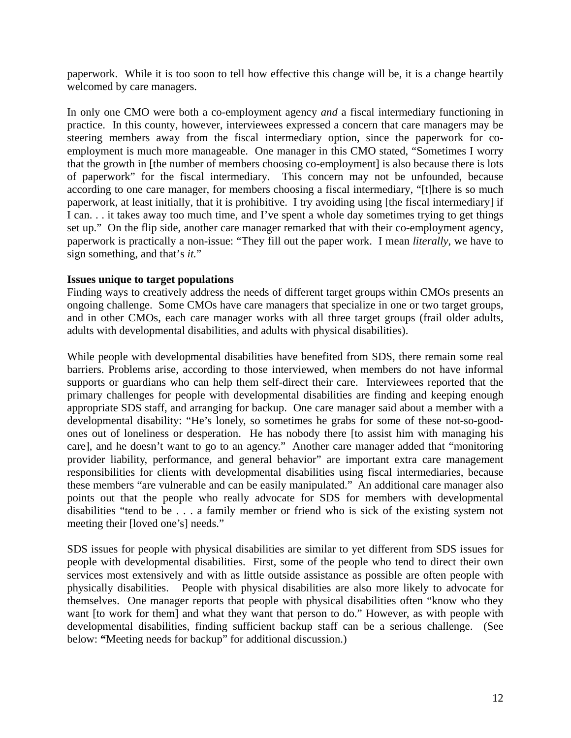paperwork. While it is too soon to tell how effective this change will be, it is a change heartily welcomed by care managers.

In only one CMO were both a co-employment agency *and* a fiscal intermediary functioning in practice. In this county, however, interviewees expressed a concern that care managers may be steering members away from the fiscal intermediary option, since the paperwork for coemployment is much more manageable. One manager in this CMO stated, "Sometimes I worry that the growth in [the number of members choosing co-employment] is also because there is lots of paperwork" for the fiscal intermediary. This concern may not be unfounded, because according to one care manager, for members choosing a fiscal intermediary, "[t]here is so much paperwork, at least initially, that it is prohibitive. I try avoiding using [the fiscal intermediary] if I can. . . it takes away too much time, and I've spent a whole day sometimes trying to get things set up." On the flip side, another care manager remarked that with their co-employment agency, paperwork is practically a non-issue: "They fill out the paper work. I mean *literally*, we have to sign something, and that's *it.*"

#### **Issues unique to target populations**

Finding ways to creatively address the needs of different target groups within CMOs presents an ongoing challenge. Some CMOs have care managers that specialize in one or two target groups, and in other CMOs, each care manager works with all three target groups (frail older adults, adults with developmental disabilities, and adults with physical disabilities).

While people with developmental disabilities have benefited from SDS, there remain some real barriers. Problems arise, according to those interviewed, when members do not have informal supports or guardians who can help them self-direct their care. Interviewees reported that the primary challenges for people with developmental disabilities are finding and keeping enough appropriate SDS staff, and arranging for backup. One care manager said about a member with a developmental disability: "He's lonely, so sometimes he grabs for some of these not-so-goodones out of loneliness or desperation. He has nobody there [to assist him with managing his care], and he doesn't want to go to an agency." Another care manager added that "monitoring provider liability, performance, and general behavior" are important extra care management responsibilities for clients with developmental disabilities using fiscal intermediaries, because these members "are vulnerable and can be easily manipulated." An additional care manager also points out that the people who really advocate for SDS for members with developmental disabilities "tend to be . . . a family member or friend who is sick of the existing system not meeting their [loved one's] needs."

SDS issues for people with physical disabilities are similar to yet different from SDS issues for people with developmental disabilities. First, some of the people who tend to direct their own services most extensively and with as little outside assistance as possible are often people with physically disabilities. People with physical disabilities are also more likely to advocate for themselves. One manager reports that people with physical disabilities often "know who they want [to work for them] and what they want that person to do." However, as with people with developmental disabilities, finding sufficient backup staff can be a serious challenge. (See below: **"**Meeting needs for backup" for additional discussion.)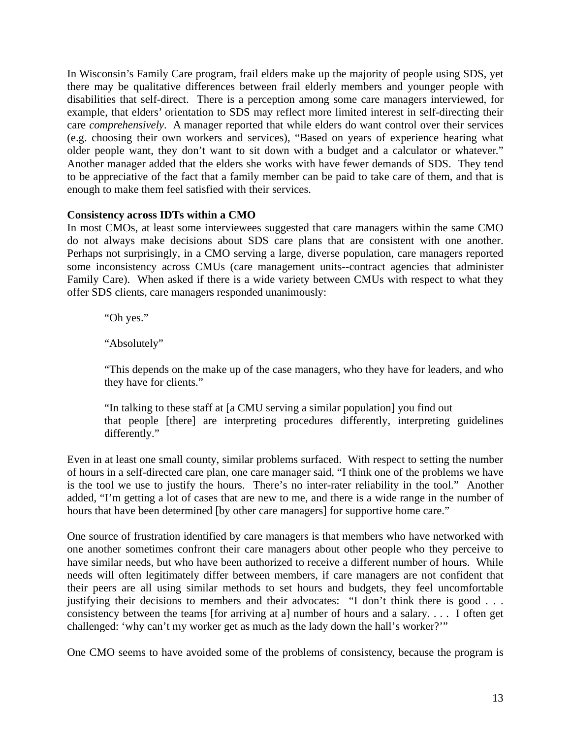In Wisconsin's Family Care program, frail elders make up the majority of people using SDS, yet there may be qualitative differences between frail elderly members and younger people with disabilities that self-direct. There is a perception among some care managers interviewed, for example, that elders' orientation to SDS may reflect more limited interest in self-directing their care *comprehensively*. A manager reported that while elders do want control over their services (e.g. choosing their own workers and services), "Based on years of experience hearing what older people want, they don't want to sit down with a budget and a calculator or whatever." Another manager added that the elders she works with have fewer demands of SDS. They tend to be appreciative of the fact that a family member can be paid to take care of them, and that is enough to make them feel satisfied with their services.

#### **Consistency across IDTs within a CMO**

In most CMOs, at least some interviewees suggested that care managers within the same CMO do not always make decisions about SDS care plans that are consistent with one another. Perhaps not surprisingly, in a CMO serving a large, diverse population, care managers reported some inconsistency across CMUs (care management units--contract agencies that administer Family Care). When asked if there is a wide variety between CMUs with respect to what they offer SDS clients, care managers responded unanimously:

"Oh yes."

"Absolutely"

"This depends on the make up of the case managers, who they have for leaders, and who they have for clients."

"In talking to these staff at [a CMU serving a similar population] you find out that people [there] are interpreting procedures differently, interpreting guidelines differently."

Even in at least one small county, similar problems surfaced. With respect to setting the number of hours in a self-directed care plan, one care manager said, "I think one of the problems we have is the tool we use to justify the hours. There's no inter-rater reliability in the tool." Another added, "I'm getting a lot of cases that are new to me, and there is a wide range in the number of hours that have been determined [by other care managers] for supportive home care."

One source of frustration identified by care managers is that members who have networked with one another sometimes confront their care managers about other people who they perceive to have similar needs, but who have been authorized to receive a different number of hours. While needs will often legitimately differ between members, if care managers are not confident that their peers are all using similar methods to set hours and budgets, they feel uncomfortable justifying their decisions to members and their advocates: "I don't think there is good . . . consistency between the teams [for arriving at a] number of hours and a salary. . . . I often get challenged: 'why can't my worker get as much as the lady down the hall's worker?'"

One CMO seems to have avoided some of the problems of consistency, because the program is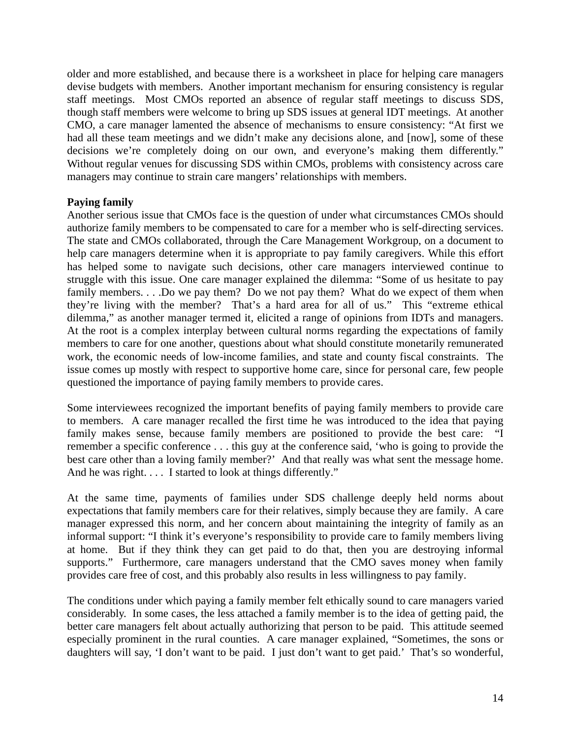older and more established, and because there is a worksheet in place for helping care managers devise budgets with members. Another important mechanism for ensuring consistency is regular staff meetings. Most CMOs reported an absence of regular staff meetings to discuss SDS, though staff members were welcome to bring up SDS issues at general IDT meetings. At another CMO, a care manager lamented the absence of mechanisms to ensure consistency: "At first we had all these team meetings and we didn't make any decisions alone, and [now], some of these decisions we're completely doing on our own, and everyone's making them differently." Without regular venues for discussing SDS within CMOs, problems with consistency across care managers may continue to strain care mangers' relationships with members.

#### **Paying family**

Another serious issue that CMOs face is the question of under what circumstances CMOs should authorize family members to be compensated to care for a member who is self-directing services. The state and CMOs collaborated, through the Care Management Workgroup, on a document to help care managers determine when it is appropriate to pay family caregivers. While this effort has helped some to navigate such decisions, other care managers interviewed continue to struggle with this issue. One care manager explained the dilemma: "Some of us hesitate to pay family members. . . .Do we pay them? Do we not pay them? What do we expect of them when they're living with the member? That's a hard area for all of us." This "extreme ethical dilemma," as another manager termed it, elicited a range of opinions from IDTs and managers. At the root is a complex interplay between cultural norms regarding the expectations of family members to care for one another, questions about what should constitute monetarily remunerated work, the economic needs of low-income families, and state and county fiscal constraints. The issue comes up mostly with respect to supportive home care, since for personal care, few people questioned the importance of paying family members to provide cares.

Some interviewees recognized the important benefits of paying family members to provide care to members. A care manager recalled the first time he was introduced to the idea that paying family makes sense, because family members are positioned to provide the best care: "I remember a specific conference . . . this guy at the conference said, 'who is going to provide the best care other than a loving family member?' And that really was what sent the message home. And he was right. . . . I started to look at things differently."

At the same time, payments of families under SDS challenge deeply held norms about expectations that family members care for their relatives, simply because they are family. A care manager expressed this norm, and her concern about maintaining the integrity of family as an informal support: "I think it's everyone's responsibility to provide care to family members living at home. But if they think they can get paid to do that, then you are destroying informal supports." Furthermore, care managers understand that the CMO saves money when family provides care free of cost, and this probably also results in less willingness to pay family.

The conditions under which paying a family member felt ethically sound to care managers varied considerably. In some cases, the less attached a family member is to the idea of getting paid, the better care managers felt about actually authorizing that person to be paid. This attitude seemed especially prominent in the rural counties. A care manager explained, "Sometimes, the sons or daughters will say, 'I don't want to be paid. I just don't want to get paid.' That's so wonderful,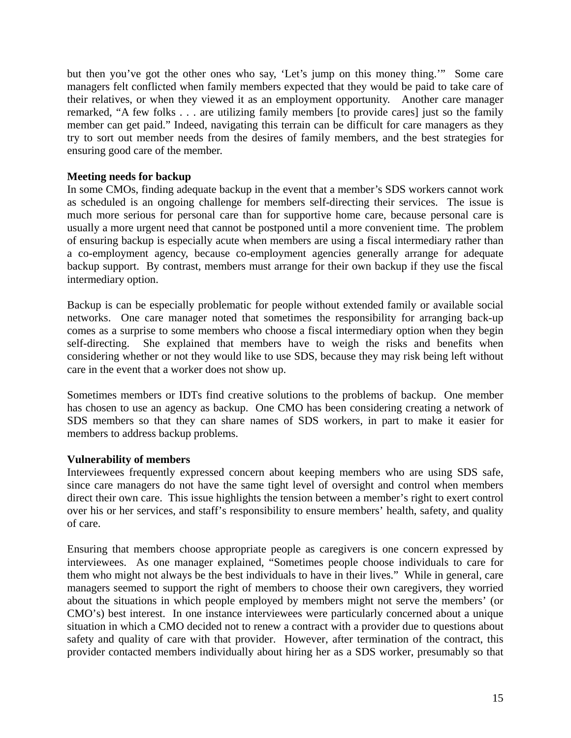but then you've got the other ones who say, 'Let's jump on this money thing.'" Some care managers felt conflicted when family members expected that they would be paid to take care of their relatives, or when they viewed it as an employment opportunity. Another care manager remarked, "A few folks . . . are utilizing family members [to provide cares] just so the family member can get paid." Indeed, navigating this terrain can be difficult for care managers as they try to sort out member needs from the desires of family members, and the best strategies for ensuring good care of the member.

#### **Meeting needs for backup**

In some CMOs, finding adequate backup in the event that a member's SDS workers cannot work as scheduled is an ongoing challenge for members self-directing their services. The issue is much more serious for personal care than for supportive home care, because personal care is usually a more urgent need that cannot be postponed until a more convenient time. The problem of ensuring backup is especially acute when members are using a fiscal intermediary rather than a co-employment agency, because co-employment agencies generally arrange for adequate backup support. By contrast, members must arrange for their own backup if they use the fiscal intermediary option.

Backup is can be especially problematic for people without extended family or available social networks. One care manager noted that sometimes the responsibility for arranging back-up comes as a surprise to some members who choose a fiscal intermediary option when they begin self-directing. She explained that members have to weigh the risks and benefits when considering whether or not they would like to use SDS, because they may risk being left without care in the event that a worker does not show up.

Sometimes members or IDTs find creative solutions to the problems of backup. One member has chosen to use an agency as backup. One CMO has been considering creating a network of SDS members so that they can share names of SDS workers, in part to make it easier for members to address backup problems.

#### **Vulnerability of members**

Interviewees frequently expressed concern about keeping members who are using SDS safe, since care managers do not have the same tight level of oversight and control when members direct their own care. This issue highlights the tension between a member's right to exert control over his or her services, and staff's responsibility to ensure members' health, safety, and quality of care.

Ensuring that members choose appropriate people as caregivers is one concern expressed by interviewees. As one manager explained, "Sometimes people choose individuals to care for them who might not always be the best individuals to have in their lives." While in general, care managers seemed to support the right of members to choose their own caregivers, they worried about the situations in which people employed by members might not serve the members' (or CMO's) best interest. In one instance interviewees were particularly concerned about a unique situation in which a CMO decided not to renew a contract with a provider due to questions about safety and quality of care with that provider. However, after termination of the contract, this provider contacted members individually about hiring her as a SDS worker, presumably so that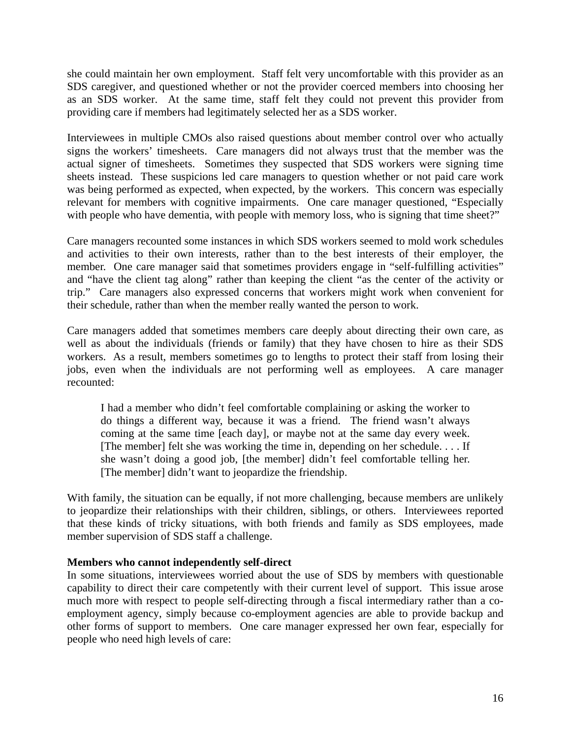she could maintain her own employment. Staff felt very uncomfortable with this provider as an SDS caregiver, and questioned whether or not the provider coerced members into choosing her as an SDS worker. At the same time, staff felt they could not prevent this provider from providing care if members had legitimately selected her as a SDS worker.

Interviewees in multiple CMOs also raised questions about member control over who actually signs the workers' timesheets. Care managers did not always trust that the member was the actual signer of timesheets. Sometimes they suspected that SDS workers were signing time sheets instead. These suspicions led care managers to question whether or not paid care work was being performed as expected, when expected, by the workers. This concern was especially relevant for members with cognitive impairments. One care manager questioned, "Especially with people who have dementia, with people with memory loss, who is signing that time sheet?"

Care managers recounted some instances in which SDS workers seemed to mold work schedules and activities to their own interests, rather than to the best interests of their employer, the member. One care manager said that sometimes providers engage in "self-fulfilling activities" and "have the client tag along" rather than keeping the client "as the center of the activity or trip." Care managers also expressed concerns that workers might work when convenient for their schedule, rather than when the member really wanted the person to work.

Care managers added that sometimes members care deeply about directing their own care, as well as about the individuals (friends or family) that they have chosen to hire as their SDS workers. As a result, members sometimes go to lengths to protect their staff from losing their jobs, even when the individuals are not performing well as employees. A care manager recounted:

I had a member who didn't feel comfortable complaining or asking the worker to do things a different way, because it was a friend. The friend wasn't always coming at the same time [each day], or maybe not at the same day every week. [The member] felt she was working the time in, depending on her schedule. . . . If she wasn't doing a good job, [the member] didn't feel comfortable telling her. [The member] didn't want to jeopardize the friendship.

With family, the situation can be equally, if not more challenging, because members are unlikely to jeopardize their relationships with their children, siblings, or others. Interviewees reported that these kinds of tricky situations, with both friends and family as SDS employees, made member supervision of SDS staff a challenge.

#### **Members who cannot independently self-direct**

In some situations, interviewees worried about the use of SDS by members with questionable capability to direct their care competently with their current level of support. This issue arose much more with respect to people self-directing through a fiscal intermediary rather than a coemployment agency, simply because co-employment agencies are able to provide backup and other forms of support to members. One care manager expressed her own fear, especially for people who need high levels of care: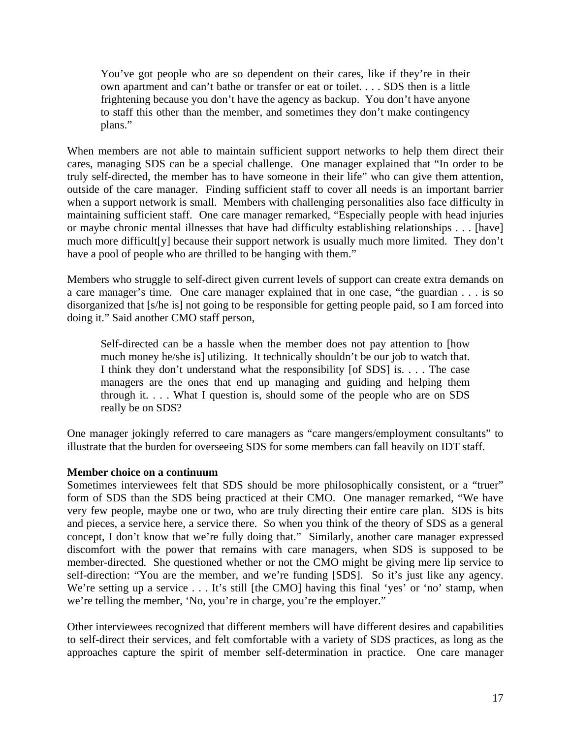You've got people who are so dependent on their cares, like if they're in their own apartment and can't bathe or transfer or eat or toilet. . . . SDS then is a little frightening because you don't have the agency as backup. You don't have anyone to staff this other than the member, and sometimes they don't make contingency plans."

When members are not able to maintain sufficient support networks to help them direct their cares, managing SDS can be a special challenge. One manager explained that "In order to be truly self-directed, the member has to have someone in their life" who can give them attention, outside of the care manager. Finding sufficient staff to cover all needs is an important barrier when a support network is small. Members with challenging personalities also face difficulty in maintaining sufficient staff. One care manager remarked, "Especially people with head injuries or maybe chronic mental illnesses that have had difficulty establishing relationships . . . [have] much more difficult[y] because their support network is usually much more limited. They don't have a pool of people who are thrilled to be hanging with them."

Members who struggle to self-direct given current levels of support can create extra demands on a care manager's time. One care manager explained that in one case, "the guardian . . . is so disorganized that [s/he is] not going to be responsible for getting people paid, so I am forced into doing it." Said another CMO staff person,

Self-directed can be a hassle when the member does not pay attention to [how much money he/she is] utilizing. It technically shouldn't be our job to watch that. I think they don't understand what the responsibility [of SDS] is. . . . The case managers are the ones that end up managing and guiding and helping them through it. . . . What I question is, should some of the people who are on SDS really be on SDS?

One manager jokingly referred to care managers as "care mangers/employment consultants" to illustrate that the burden for overseeing SDS for some members can fall heavily on IDT staff.

#### **Member choice on a continuum**

Sometimes interviewees felt that SDS should be more philosophically consistent, or a "truer" form of SDS than the SDS being practiced at their CMO. One manager remarked, "We have very few people, maybe one or two, who are truly directing their entire care plan. SDS is bits and pieces, a service here, a service there. So when you think of the theory of SDS as a general concept, I don't know that we're fully doing that." Similarly, another care manager expressed discomfort with the power that remains with care managers, when SDS is supposed to be member-directed. She questioned whether or not the CMO might be giving mere lip service to self-direction: "You are the member, and we're funding [SDS]. So it's just like any agency. We're setting up a service . . . It's still [the CMO] having this final 'yes' or 'no' stamp, when we're telling the member, 'No, you're in charge, you're the employer."

Other interviewees recognized that different members will have different desires and capabilities to self-direct their services, and felt comfortable with a variety of SDS practices, as long as the approaches capture the spirit of member self-determination in practice. One care manager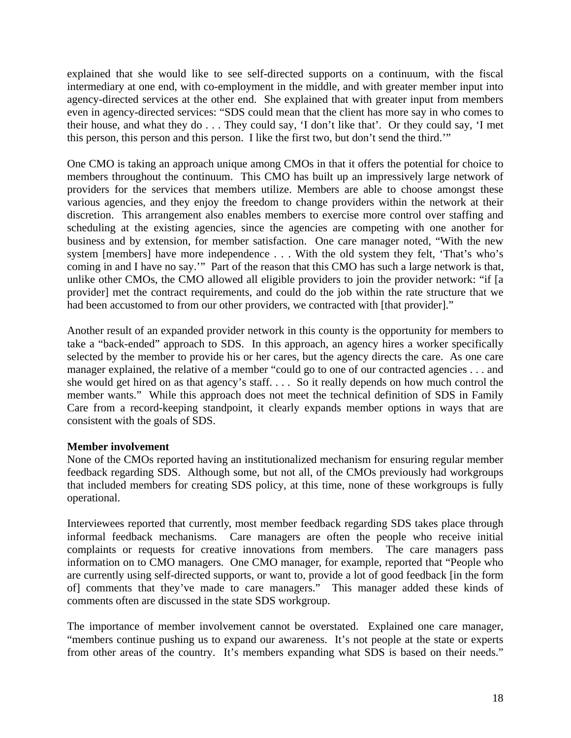explained that she would like to see self-directed supports on a continuum, with the fiscal intermediary at one end, with co-employment in the middle, and with greater member input into agency-directed services at the other end. She explained that with greater input from members even in agency-directed services: "SDS could mean that the client has more say in who comes to their house, and what they do . . . They could say, 'I don't like that'. Or they could say, 'I met this person, this person and this person. I like the first two, but don't send the third.'"

One CMO is taking an approach unique among CMOs in that it offers the potential for choice to members throughout the continuum. This CMO has built up an impressively large network of providers for the services that members utilize. Members are able to choose amongst these various agencies, and they enjoy the freedom to change providers within the network at their discretion. This arrangement also enables members to exercise more control over staffing and scheduling at the existing agencies, since the agencies are competing with one another for business and by extension, for member satisfaction. One care manager noted, "With the new system [members] have more independence . . . With the old system they felt, 'That's who's coming in and I have no say.'" Part of the reason that this CMO has such a large network is that, unlike other CMOs, the CMO allowed all eligible providers to join the provider network: "if [a provider] met the contract requirements, and could do the job within the rate structure that we had been accustomed to from our other providers, we contracted with [that provider]."

Another result of an expanded provider network in this county is the opportunity for members to take a "back-ended" approach to SDS. In this approach, an agency hires a worker specifically selected by the member to provide his or her cares, but the agency directs the care. As one care manager explained, the relative of a member "could go to one of our contracted agencies . . . and she would get hired on as that agency's staff. . . . So it really depends on how much control the member wants." While this approach does not meet the technical definition of SDS in Family Care from a record-keeping standpoint, it clearly expands member options in ways that are consistent with the goals of SDS.

#### **Member involvement**

None of the CMOs reported having an institutionalized mechanism for ensuring regular member feedback regarding SDS. Although some, but not all, of the CMOs previously had workgroups that included members for creating SDS policy, at this time, none of these workgroups is fully operational.

Interviewees reported that currently, most member feedback regarding SDS takes place through informal feedback mechanisms. Care managers are often the people who receive initial complaints or requests for creative innovations from members. The care managers pass information on to CMO managers. One CMO manager, for example, reported that "People who are currently using self-directed supports, or want to, provide a lot of good feedback [in the form of] comments that they've made to care managers." This manager added these kinds of comments often are discussed in the state SDS workgroup.

The importance of member involvement cannot be overstated. Explained one care manager, "members continue pushing us to expand our awareness. It's not people at the state or experts from other areas of the country. It's members expanding what SDS is based on their needs."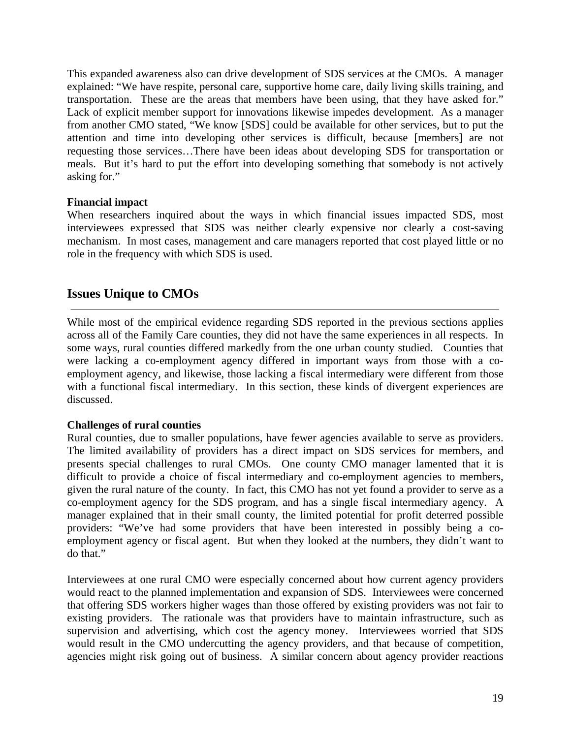This expanded awareness also can drive development of SDS services at the CMOs. A manager explained: "We have respite, personal care, supportive home care, daily living skills training, and transportation. These are the areas that members have been using, that they have asked for." Lack of explicit member support for innovations likewise impedes development. As a manager from another CMO stated, "We know [SDS] could be available for other services, but to put the attention and time into developing other services is difficult, because [members] are not requesting those services…There have been ideas about developing SDS for transportation or meals. But it's hard to put the effort into developing something that somebody is not actively asking for."

#### **Financial impact**

When researchers inquired about the ways in which financial issues impacted SDS, most interviewees expressed that SDS was neither clearly expensive nor clearly a cost-saving mechanism. In most cases, management and care managers reported that cost played little or no role in the frequency with which SDS is used.

# **Issues Unique to CMOs**

While most of the empirical evidence regarding SDS reported in the previous sections applies across all of the Family Care counties, they did not have the same experiences in all respects. In some ways, rural counties differed markedly from the one urban county studied. Counties that were lacking a co-employment agency differed in important ways from those with a coemployment agency, and likewise, those lacking a fiscal intermediary were different from those with a functional fiscal intermediary. In this section, these kinds of divergent experiences are discussed.

# **Challenges of rural counties**

Rural counties, due to smaller populations, have fewer agencies available to serve as providers. The limited availability of providers has a direct impact on SDS services for members, and presents special challenges to rural CMOs. One county CMO manager lamented that it is difficult to provide a choice of fiscal intermediary and co-employment agencies to members, given the rural nature of the county. In fact, this CMO has not yet found a provider to serve as a co-employment agency for the SDS program, and has a single fiscal intermediary agency. A manager explained that in their small county, the limited potential for profit deterred possible providers: "We've had some providers that have been interested in possibly being a coemployment agency or fiscal agent. But when they looked at the numbers, they didn't want to do that."

Interviewees at one rural CMO were especially concerned about how current agency providers would react to the planned implementation and expansion of SDS. Interviewees were concerned that offering SDS workers higher wages than those offered by existing providers was not fair to existing providers. The rationale was that providers have to maintain infrastructure, such as supervision and advertising, which cost the agency money. Interviewees worried that SDS would result in the CMO undercutting the agency providers, and that because of competition, agencies might risk going out of business. A similar concern about agency provider reactions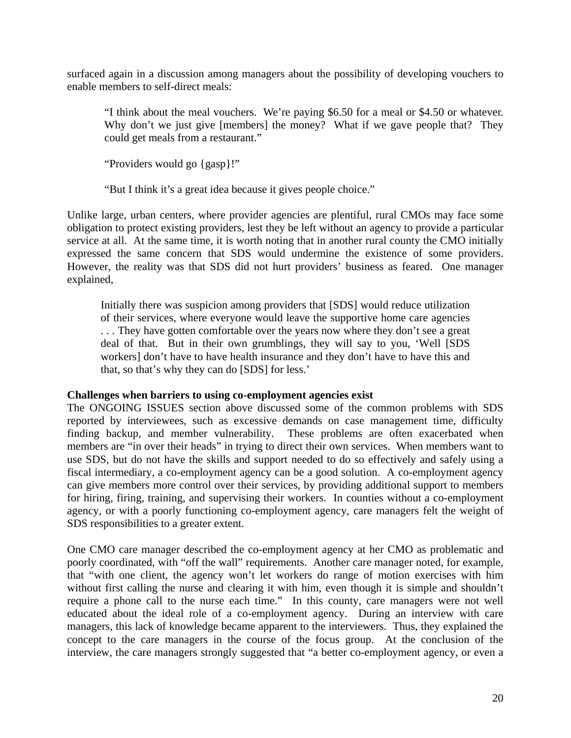surfaced again in a discussion among managers about the possibility of developing vouchers to enable members to self-direct meals:

"I think about the meal vouchers. We're paying \$6.50 for a meal or \$4.50 or whatever. Why don't we just give [members] the money? What if we gave people that? They could get meals from a restaurant."

"Providers would go {gasp}!"

"But I think it's a great idea because it gives people choice."

Unlike large, urban centers, where provider agencies are plentiful, rural CMOs may face some obligation to protect existing providers, lest they be left without an agency to provide a particular service at all. At the same time, it is worth noting that in another rural county the CMO initially expressed the same concern that SDS would undermine the existence of some providers. However, the reality was that SDS did not hurt providers' business as feared. One manager explained,

Initially there was suspicion among providers that [SDS] would reduce utilization of their services, where everyone would leave the supportive home care agencies . . . They have gotten comfortable over the years now where they don't see a great deal of that. But in their own grumblings, they will say to you, 'Well [SDS workers] don't have to have health insurance and they don't have to have this and that, so that's why they can do [SDS] for less.'

#### **Challenges when barriers to using co-employment agencies exist**

The ONGOING ISSUES section above discussed some of the common problems with SDS reported by interviewees, such as excessive demands on case management time, difficulty finding backup, and member vulnerability. These problems are often exacerbated when members are "in over their heads" in trying to direct their own services. When members want to use SDS, but do not have the skills and support needed to do so effectively and safely using a fiscal intermediary, a co-employment agency can be a good solution. A co-employment agency can give members more control over their services, by providing additional support to members for hiring, firing, training, and supervising their workers. In counties without a co-employment agency, or with a poorly functioning co-employment agency, care managers felt the weight of SDS responsibilities to a greater extent.

One CMO care manager described the co-employment agency at her CMO as problematic and poorly coordinated, with "off the wall" requirements. Another care manager noted, for example, that "with one client, the agency won't let workers do range of motion exercises with him without first calling the nurse and clearing it with him, even though it is simple and shouldn't require a phone call to the nurse each time." In this county, care managers were not well educated about the ideal role of a co-employment agency. During an interview with care managers, this lack of knowledge became apparent to the interviewers. Thus, they explained the concept to the care managers in the course of the focus group. At the conclusion of the interview, the care managers strongly suggested that "a better co-employment agency, or even a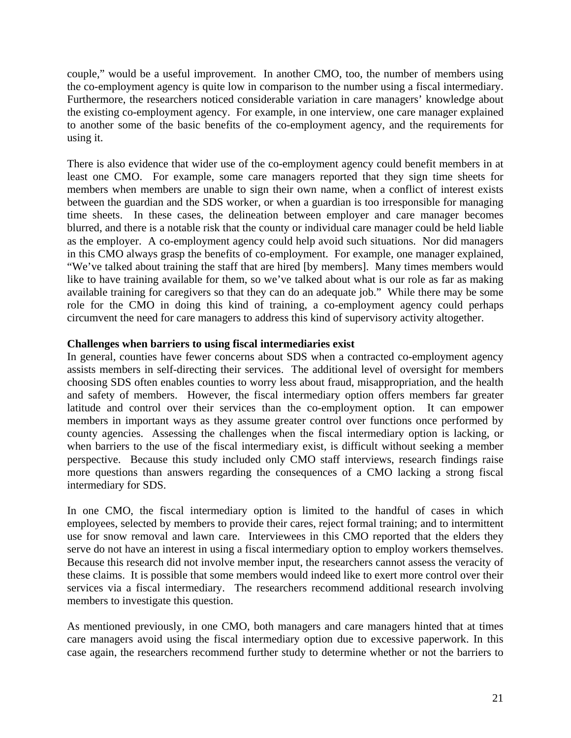couple," would be a useful improvement. In another CMO, too, the number of members using the co-employment agency is quite low in comparison to the number using a fiscal intermediary. Furthermore, the researchers noticed considerable variation in care managers' knowledge about the existing co-employment agency. For example, in one interview, one care manager explained to another some of the basic benefits of the co-employment agency, and the requirements for using it.

There is also evidence that wider use of the co-employment agency could benefit members in at least one CMO. For example, some care managers reported that they sign time sheets for members when members are unable to sign their own name, when a conflict of interest exists between the guardian and the SDS worker, or when a guardian is too irresponsible for managing time sheets. In these cases, the delineation between employer and care manager becomes blurred, and there is a notable risk that the county or individual care manager could be held liable as the employer. A co-employment agency could help avoid such situations. Nor did managers in this CMO always grasp the benefits of co-employment. For example, one manager explained, "We've talked about training the staff that are hired [by members]. Many times members would like to have training available for them, so we've talked about what is our role as far as making available training for caregivers so that they can do an adequate job." While there may be some role for the CMO in doing this kind of training, a co-employment agency could perhaps circumvent the need for care managers to address this kind of supervisory activity altogether.

#### **Challenges when barriers to using fiscal intermediaries exist**

In general, counties have fewer concerns about SDS when a contracted co-employment agency assists members in self-directing their services. The additional level of oversight for members choosing SDS often enables counties to worry less about fraud, misappropriation, and the health and safety of members. However, the fiscal intermediary option offers members far greater latitude and control over their services than the co-employment option. It can empower members in important ways as they assume greater control over functions once performed by county agencies. Assessing the challenges when the fiscal intermediary option is lacking, or when barriers to the use of the fiscal intermediary exist, is difficult without seeking a member perspective. Because this study included only CMO staff interviews, research findings raise more questions than answers regarding the consequences of a CMO lacking a strong fiscal intermediary for SDS.

In one CMO, the fiscal intermediary option is limited to the handful of cases in which employees, selected by members to provide their cares, reject formal training; and to intermittent use for snow removal and lawn care. Interviewees in this CMO reported that the elders they serve do not have an interest in using a fiscal intermediary option to employ workers themselves. Because this research did not involve member input, the researchers cannot assess the veracity of these claims. It is possible that some members would indeed like to exert more control over their services via a fiscal intermediary. The researchers recommend additional research involving members to investigate this question.

As mentioned previously, in one CMO, both managers and care managers hinted that at times care managers avoid using the fiscal intermediary option due to excessive paperwork. In this case again, the researchers recommend further study to determine whether or not the barriers to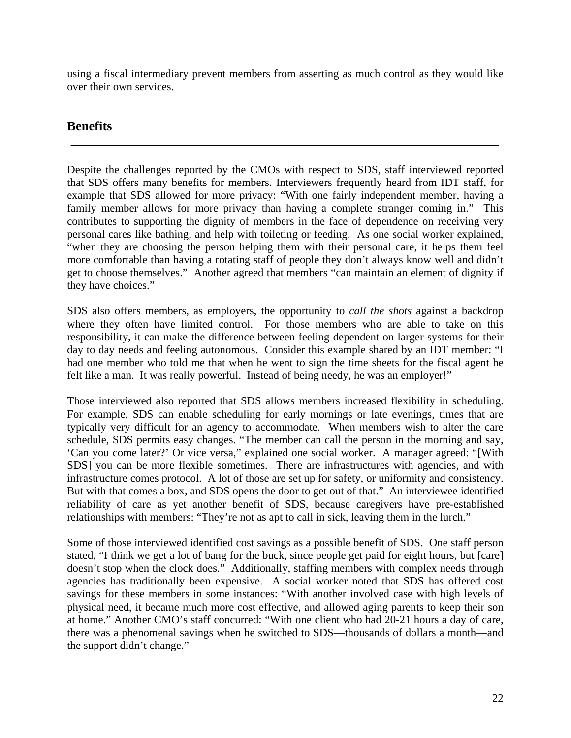using a fiscal intermediary prevent members from asserting as much control as they would like over their own services.

# **Benefits**

Despite the challenges reported by the CMOs with respect to SDS, staff interviewed reported that SDS offers many benefits for members. Interviewers frequently heard from IDT staff, for example that SDS allowed for more privacy: "With one fairly independent member, having a family member allows for more privacy than having a complete stranger coming in." This contributes to supporting the dignity of members in the face of dependence on receiving very personal cares like bathing, and help with toileting or feeding. As one social worker explained, "when they are choosing the person helping them with their personal care, it helps them feel more comfortable than having a rotating staff of people they don't always know well and didn't get to choose themselves." Another agreed that members "can maintain an element of dignity if they have choices."

SDS also offers members, as employers, the opportunity to *call the shots* against a backdrop where they often have limited control. For those members who are able to take on this responsibility, it can make the difference between feeling dependent on larger systems for their day to day needs and feeling autonomous. Consider this example shared by an IDT member: "I had one member who told me that when he went to sign the time sheets for the fiscal agent he felt like a man. It was really powerful. Instead of being needy, he was an employer!"

Those interviewed also reported that SDS allows members increased flexibility in scheduling. For example, SDS can enable scheduling for early mornings or late evenings, times that are typically very difficult for an agency to accommodate. When members wish to alter the care schedule, SDS permits easy changes. "The member can call the person in the morning and say, 'Can you come later?' Or vice versa," explained one social worker. A manager agreed: "[With SDS] you can be more flexible sometimes. There are infrastructures with agencies, and with infrastructure comes protocol. A lot of those are set up for safety, or uniformity and consistency. But with that comes a box, and SDS opens the door to get out of that." An interviewee identified reliability of care as yet another benefit of SDS, because caregivers have pre-established relationships with members: "They're not as apt to call in sick, leaving them in the lurch."

Some of those interviewed identified cost savings as a possible benefit of SDS. One staff person stated, "I think we get a lot of bang for the buck, since people get paid for eight hours, but [care] doesn't stop when the clock does." Additionally, staffing members with complex needs through agencies has traditionally been expensive. A social worker noted that SDS has offered cost savings for these members in some instances: "With another involved case with high levels of physical need, it became much more cost effective, and allowed aging parents to keep their son at home." Another CMO's staff concurred: "With one client who had 20-21 hours a day of care, there was a phenomenal savings when he switched to SDS—thousands of dollars a month—and the support didn't change."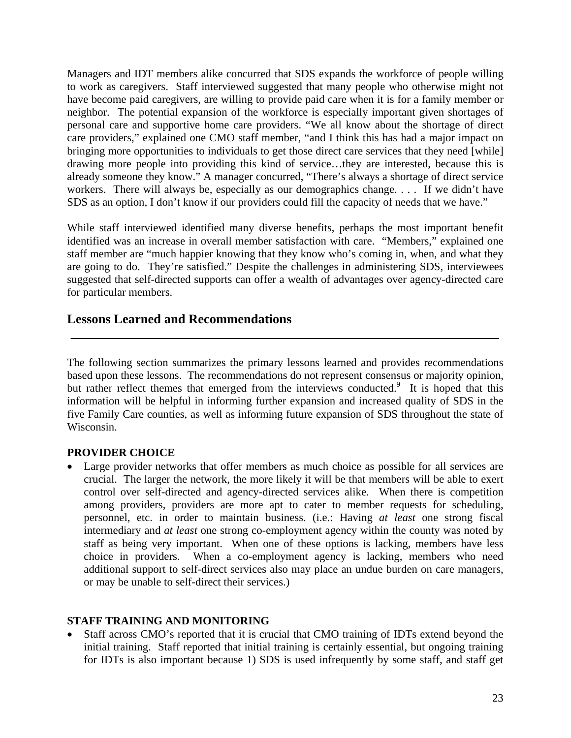Managers and IDT members alike concurred that SDS expands the workforce of people willing to work as caregivers. Staff interviewed suggested that many people who otherwise might not have become paid caregivers, are willing to provide paid care when it is for a family member or neighbor. The potential expansion of the workforce is especially important given shortages of personal care and supportive home care providers. "We all know about the shortage of direct care providers," explained one CMO staff member, "and I think this has had a major impact on bringing more opportunities to individuals to get those direct care services that they need [while] drawing more people into providing this kind of service…they are interested, because this is already someone they know." A manager concurred, "There's always a shortage of direct service workers. There will always be, especially as our demographics change. . . . If we didn't have SDS as an option, I don't know if our providers could fill the capacity of needs that we have."

While staff interviewed identified many diverse benefits, perhaps the most important benefit identified was an increase in overall member satisfaction with care. "Members," explained one staff member are "much happier knowing that they know who's coming in, when, and what they are going to do. They're satisfied." Despite the challenges in administering SDS, interviewees suggested that self-directed supports can offer a wealth of advantages over agency-directed care for particular members.

# **Lessons Learned and Recommendations**

The following section summarizes the primary lessons learned and provides recommendations based upon these lessons. The recommendations do not represent consensus or majority opinion, but rather reflect themes that emerged from the interviews conducted.<sup>9</sup> It is hoped that this information will be helpful in informing further expansion and increased quality of SDS in the five Family Care counties, as well as informing future expansion of SDS throughout the state of Wisconsin.

#### **PROVIDER CHOICE**

• Large provider networks that offer members as much choice as possible for all services are crucial. The larger the network, the more likely it will be that members will be able to exert control over self-directed and agency-directed services alike. When there is competition among providers, providers are more apt to cater to member requests for scheduling, personnel, etc. in order to maintain business. (i.e.: Having *at least* one strong fiscal intermediary and *at least* one strong co-employment agency within the county was noted by staff as being very important. When one of these options is lacking, members have less choice in providers. When a co-employment agency is lacking, members who need additional support to self-direct services also may place an undue burden on care managers, or may be unable to self-direct their services.)

# **STAFF TRAINING AND MONITORING**

• Staff across CMO's reported that it is crucial that CMO training of IDTs extend beyond the initial training. Staff reported that initial training is certainly essential, but ongoing training for IDTs is also important because 1) SDS is used infrequently by some staff, and staff get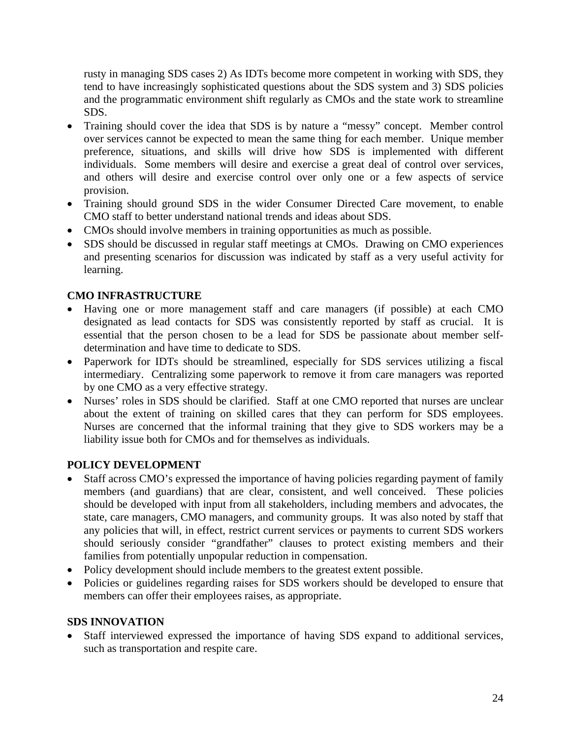rusty in managing SDS cases 2) As IDTs become more competent in working with SDS, they tend to have increasingly sophisticated questions about the SDS system and 3) SDS policies and the programmatic environment shift regularly as CMOs and the state work to streamline SDS.

- Training should cover the idea that SDS is by nature a "messy" concept. Member control over services cannot be expected to mean the same thing for each member. Unique member preference, situations, and skills will drive how SDS is implemented with different individuals. Some members will desire and exercise a great deal of control over services, and others will desire and exercise control over only one or a few aspects of service provision.
- Training should ground SDS in the wider Consumer Directed Care movement, to enable CMO staff to better understand national trends and ideas about SDS.
- CMOs should involve members in training opportunities as much as possible.
- SDS should be discussed in regular staff meetings at CMOs. Drawing on CMO experiences and presenting scenarios for discussion was indicated by staff as a very useful activity for learning.

# **CMO INFRASTRUCTURE**

- Having one or more management staff and care managers (if possible) at each CMO designated as lead contacts for SDS was consistently reported by staff as crucial. It is essential that the person chosen to be a lead for SDS be passionate about member selfdetermination and have time to dedicate to SDS.
- Paperwork for IDTs should be streamlined, especially for SDS services utilizing a fiscal intermediary. Centralizing some paperwork to remove it from care managers was reported by one CMO as a very effective strategy.
- Nurses' roles in SDS should be clarified. Staff at one CMO reported that nurses are unclear about the extent of training on skilled cares that they can perform for SDS employees. Nurses are concerned that the informal training that they give to SDS workers may be a liability issue both for CMOs and for themselves as individuals.

# **POLICY DEVELOPMENT**

- Staff across CMO's expressed the importance of having policies regarding payment of family members (and guardians) that are clear, consistent, and well conceived. These policies should be developed with input from all stakeholders, including members and advocates, the state, care managers, CMO managers, and community groups. It was also noted by staff that any policies that will, in effect, restrict current services or payments to current SDS workers should seriously consider "grandfather" clauses to protect existing members and their families from potentially unpopular reduction in compensation.
- Policy development should include members to the greatest extent possible.
- Policies or guidelines regarding raises for SDS workers should be developed to ensure that members can offer their employees raises, as appropriate.

# **SDS INNOVATION**

• Staff interviewed expressed the importance of having SDS expand to additional services, such as transportation and respite care.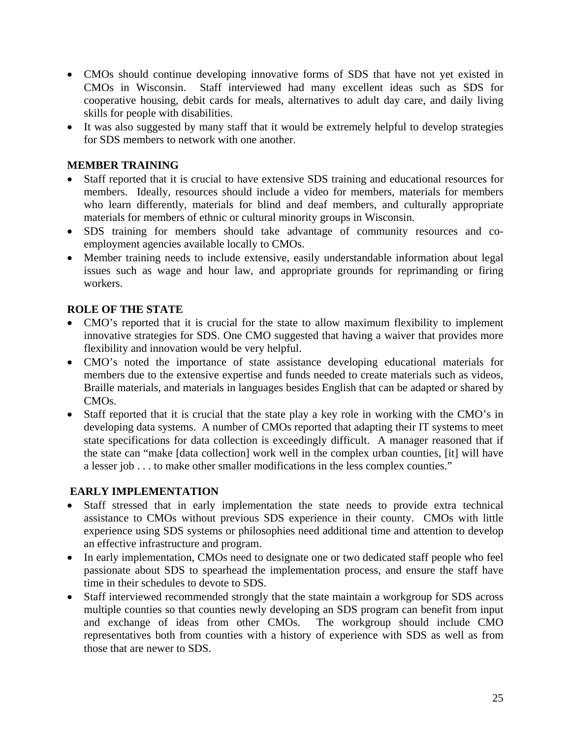- CMOs should continue developing innovative forms of SDS that have not yet existed in CMOs in Wisconsin. Staff interviewed had many excellent ideas such as SDS for cooperative housing, debit cards for meals, alternatives to adult day care, and daily living skills for people with disabilities.
- It was also suggested by many staff that it would be extremely helpful to develop strategies for SDS members to network with one another.

# **MEMBER TRAINING**

- Staff reported that it is crucial to have extensive SDS training and educational resources for members. Ideally, resources should include a video for members, materials for members who learn differently, materials for blind and deaf members, and culturally appropriate materials for members of ethnic or cultural minority groups in Wisconsin.
- SDS training for members should take advantage of community resources and coemployment agencies available locally to CMOs.
- Member training needs to include extensive, easily understandable information about legal issues such as wage and hour law, and appropriate grounds for reprimanding or firing workers.

# **ROLE OF THE STATE**

- CMO's reported that it is crucial for the state to allow maximum flexibility to implement innovative strategies for SDS. One CMO suggested that having a waiver that provides more flexibility and innovation would be very helpful.
- CMO's noted the importance of state assistance developing educational materials for members due to the extensive expertise and funds needed to create materials such as videos, Braille materials, and materials in languages besides English that can be adapted or shared by CMOs.
- Staff reported that it is crucial that the state play a key role in working with the CMO's in developing data systems. A number of CMOs reported that adapting their IT systems to meet state specifications for data collection is exceedingly difficult. A manager reasoned that if the state can "make [data collection] work well in the complex urban counties, [it] will have a lesser job . . . to make other smaller modifications in the less complex counties."

# **EARLY IMPLEMENTATION**

- Staff stressed that in early implementation the state needs to provide extra technical assistance to CMOs without previous SDS experience in their county. CMOs with little experience using SDS systems or philosophies need additional time and attention to develop an effective infrastructure and program.
- In early implementation, CMOs need to designate one or two dedicated staff people who feel passionate about SDS to spearhead the implementation process, and ensure the staff have time in their schedules to devote to SDS.
- Staff interviewed recommended strongly that the state maintain a workgroup for SDS across multiple counties so that counties newly developing an SDS program can benefit from input and exchange of ideas from other CMOs. The workgroup should include CMO representatives both from counties with a history of experience with SDS as well as from those that are newer to SDS.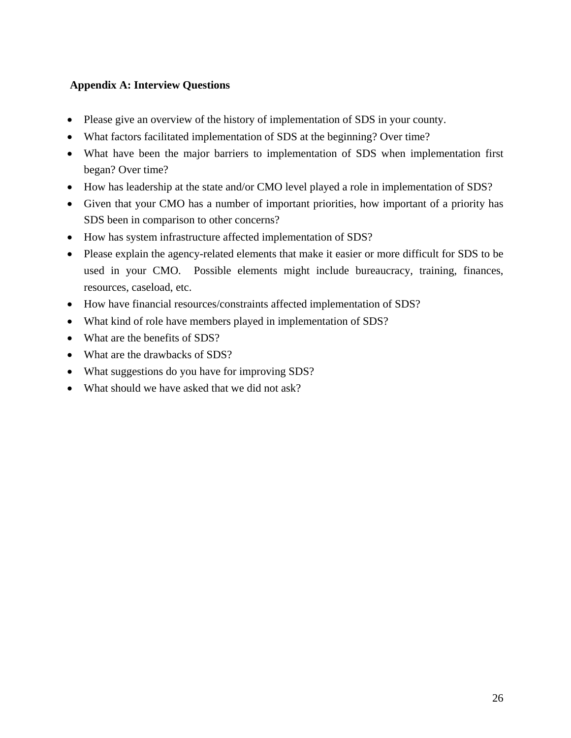# **Appendix A: Interview Questions**

- Please give an overview of the history of implementation of SDS in your county.
- What factors facilitated implementation of SDS at the beginning? Over time?
- What have been the major barriers to implementation of SDS when implementation first began? Over time?
- How has leadership at the state and/or CMO level played a role in implementation of SDS?
- Given that your CMO has a number of important priorities, how important of a priority has SDS been in comparison to other concerns?
- How has system infrastructure affected implementation of SDS?
- Please explain the agency-related elements that make it easier or more difficult for SDS to be used in your CMO. Possible elements might include bureaucracy, training, finances, resources, caseload, etc.
- How have financial resources/constraints affected implementation of SDS?
- What kind of role have members played in implementation of SDS?
- What are the benefits of SDS?
- What are the drawbacks of SDS?
- What suggestions do you have for improving SDS?
- What should we have asked that we did not ask?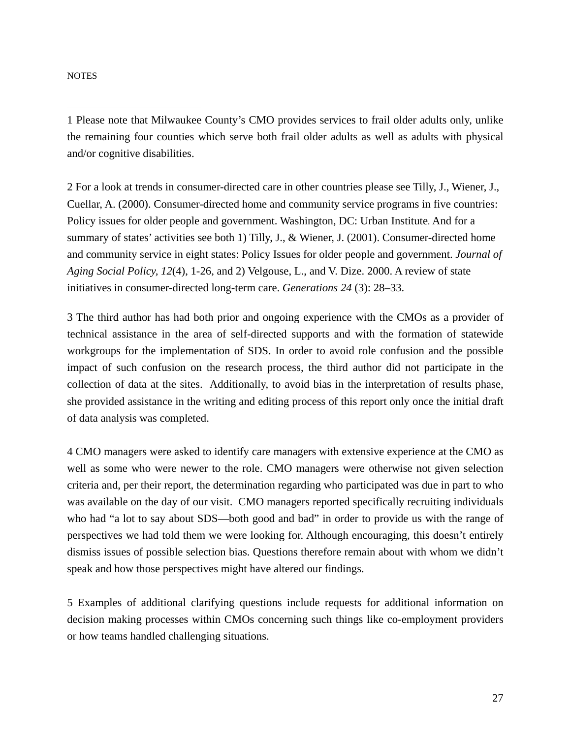**NOTES** 

 $\overline{a}$ 

1 Please note that Milwaukee County's CMO provides services to frail older adults only, unlike the remaining four counties which serve both frail older adults as well as adults with physical and/or cognitive disabilities.

2 For a look at trends in consumer-directed care in other countries please see Tilly, J., Wiener, J., Cuellar, A. (2000). Consumer-directed home and community service programs in five countries: Policy issues for older people and government. Washington, DC: Urban Institute. And for a summary of states' activities see both 1) Tilly, J., & Wiener, J. (2001). Consumer-directed home and community service in eight states: Policy Issues for older people and government. *Journal of Aging Social Policy, 12*(4), 1-26, and 2) Velgouse, L., and V. Dize. 2000. A review of state initiatives in consumer-directed long-term care. *Generations 24* (3): 28–33.

3 The third author has had both prior and ongoing experience with the CMOs as a provider of technical assistance in the area of self-directed supports and with the formation of statewide workgroups for the implementation of SDS. In order to avoid role confusion and the possible impact of such confusion on the research process, the third author did not participate in the collection of data at the sites. Additionally, to avoid bias in the interpretation of results phase, she provided assistance in the writing and editing process of this report only once the initial draft of data analysis was completed.

4 CMO managers were asked to identify care managers with extensive experience at the CMO as well as some who were newer to the role. CMO managers were otherwise not given selection criteria and, per their report, the determination regarding who participated was due in part to who was available on the day of our visit. CMO managers reported specifically recruiting individuals who had "a lot to say about SDS—both good and bad" in order to provide us with the range of perspectives we had told them we were looking for. Although encouraging, this doesn't entirely dismiss issues of possible selection bias. Questions therefore remain about with whom we didn't speak and how those perspectives might have altered our findings.

5 Examples of additional clarifying questions include requests for additional information on decision making processes within CMOs concerning such things like co-employment providers or how teams handled challenging situations.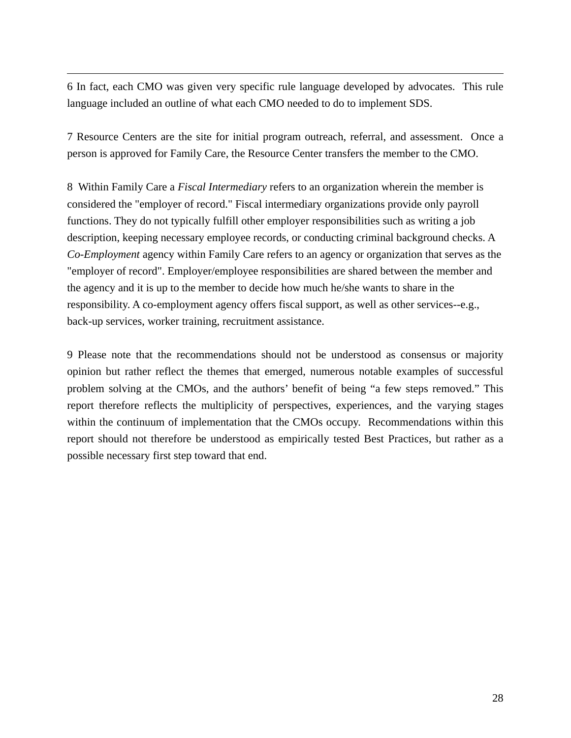6 In fact, each CMO was given very specific rule language developed by advocates. This rule language included an outline of what each CMO needed to do to implement SDS.

 $\overline{a}$ 

7 Resource Centers are the site for initial program outreach, referral, and assessment. Once a person is approved for Family Care, the Resource Center transfers the member to the CMO.

8 Within Family Care a *Fiscal Intermediary* refers to an organization wherein the member is considered the "employer of record." Fiscal intermediary organizations provide only payroll functions. They do not typically fulfill other employer responsibilities such as writing a job description, keeping necessary employee records, or conducting criminal background checks. A *Co-Employment* agency within Family Care refers to an agency or organization that serves as the "employer of record". Employer/employee responsibilities are shared between the member and the agency and it is up to the member to decide how much he/she wants to share in the responsibility. A co-employment agency offers fiscal support, as well as other services--e.g., back-up services, worker training, recruitment assistance.

9 Please note that the recommendations should not be understood as consensus or majority opinion but rather reflect the themes that emerged, numerous notable examples of successful problem solving at the CMOs, and the authors' benefit of being "a few steps removed." This report therefore reflects the multiplicity of perspectives, experiences, and the varying stages within the continuum of implementation that the CMOs occupy. Recommendations within this report should not therefore be understood as empirically tested Best Practices, but rather as a possible necessary first step toward that end.